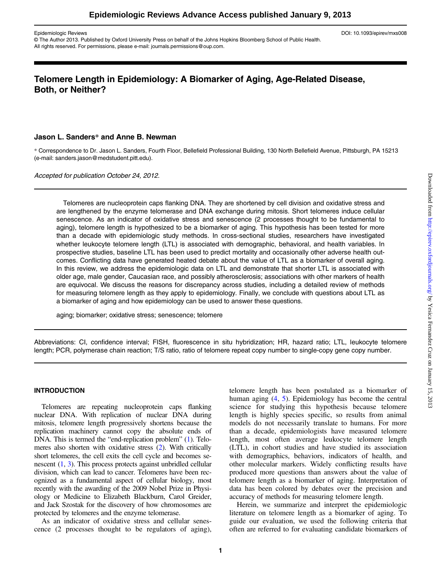Epidemiologic Reviews

© The Author 2013. Published by Oxford University Press on behalf of the Johns Hopkins Bloomberg School of Public Health. All rights reserved. For permissions, please e-mail: journals.permissions@oup.com.

DOI: 10.1093/epirev/mxs008

# Telomere Length in Epidemiology: A Biomarker of Aging, Age-Related Disease, Both, or Neither?

# Jason L. Sanders\* and Anne B. Newman

\* Correspondence to Dr. Jason L. Sanders, Fourth Floor, Bellefield Professional Building, 130 North Bellefield Avenue, Pittsburgh, PA 15213 (e-mail: sanders.jason@medstudent.pitt.edu).

Accepted for publication October 24, 2012.

Telomeres are nucleoprotein caps flanking DNA. They are shortened by cell division and oxidative stress and are lengthened by the enzyme telomerase and DNA exchange during mitosis. Short telomeres induce cellular senescence. As an indicator of oxidative stress and senescence (2 processes thought to be fundamental to aging), telomere length is hypothesized to be a biomarker of aging. This hypothesis has been tested for more than a decade with epidemiologic study methods. In cross-sectional studies, researchers have investigated whether leukocyte telomere length (LTL) is associated with demographic, behavioral, and health variables. In prospective studies, baseline LTL has been used to predict mortality and occasionally other adverse health outcomes. Conflicting data have generated heated debate about the value of LTL as a biomarker of overall aging. In this review, we address the epidemiologic data on LTL and demonstrate that shorter LTL is associated with older age, male gender, Caucasian race, and possibly atherosclerosis; associations with other markers of health are equivocal. We discuss the reasons for discrepancy across studies, including a detailed review of methods for measuring telomere length as they apply to epidemiology. Finally, we conclude with questions about LTL as a biomarker of aging and how epidemiology can be used to answer these questions.

aging; biomarker; oxidative stress; senescence; telomere

Abbreviations: CI, confidence interval; FISH, fluorescence in situ hybridization; HR, hazard ratio; LTL, leukocyte telomere length; PCR, polymerase chain reaction; T/S ratio, ratio of telomere repeat copy number to single-copy gene copy number.

# INTRODUCTION

Telomeres are repeating nucleoprotein caps flanking nuclear DNA. With replication of nuclear DNA during mitosis, telomere length progressively shortens because the replication machinery cannot copy the absolute ends of DNA. This is termed the "end-replication problem" [\(1](#page-16-0)). Telomeres also shorten with oxidative stress ([2](#page-16-0)). With critically short telomeres, the cell exits the cell cycle and becomes senescent [\(1,](#page-16-0) [3\)](#page-16-0). This process protects against unbridled cellular division, which can lead to cancer. Telomeres have been recognized as a fundamental aspect of cellular biology, most recently with the awarding of the 2009 Nobel Prize in Physiology or Medicine to Elizabeth Blackburn, Carol Greider, and Jack Szostak for the discovery of how chromosomes are protected by telomeres and the enzyme telomerase.

As an indicator of oxidative stress and cellular senescence (2 processes thought to be regulators of aging), telomere length has been postulated as a biomarker of human aging ([4,](#page-16-0) [5\)](#page-17-0). Epidemiology has become the central science for studying this hypothesis because telomere length is highly species specific, so results from animal models do not necessarily translate to humans. For more than a decade, epidemiologists have measured telomere length, most often average leukocyte telomere length (LTL), in cohort studies and have studied its association with demographics, behaviors, indicators of health, and other molecular markers. Widely conflicting results have produced more questions than answers about the value of telomere length as a biomarker of aging. Interpretation of data has been colored by debates over the precision and accuracy of methods for measuring telomere length.

Herein, we summarize and interpret the epidemiologic literature on telomere length as a biomarker of aging. To guide our evaluation, we used the following criteria that often are referred to for evaluating candidate biomarkers of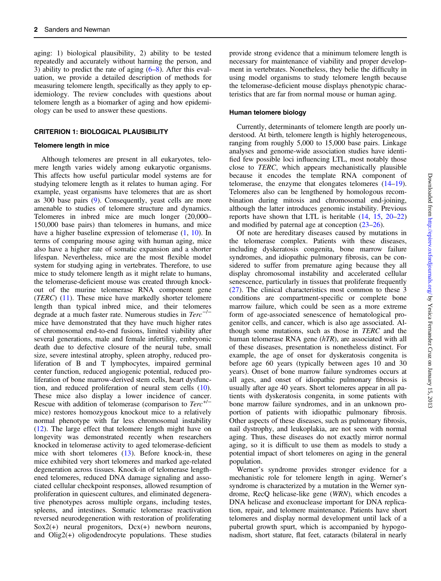aging: 1) biological plausibility, 2) ability to be tested repeatedly and accurately without harming the person, and 3) ability to predict the rate of aging ([6](#page-17-0)–[8\)](#page-17-0). After this evaluation, we provide a detailed description of methods for measuring telomere length, specifically as they apply to epidemiology. The review concludes with questions about telomere length as a biomarker of aging and how epidemiology can be used to answer these questions.

## CRITERION 1: BIOLOGICAL PLAUSIBILITY

### Telomere length in mice

Although telomeres are present in all eukaryotes, telomere length varies widely among eukaryotic organisms. This affects how useful particular model systems are for studying telomere length as it relates to human aging. For example, yeast organisms have telomeres that are as short as 300 base pairs [\(9](#page-17-0)). Consequently, yeast cells are more amenable to studies of telomere structure and dynamics. Telomeres in inbred mice are much longer (20,000– 150,000 base pairs) than telomeres in humans, and mice have a higher baseline expression of telomerase  $(1, 10)$  $(1, 10)$  $(1, 10)$  $(1, 10)$  $(1, 10)$ . In terms of comparing mouse aging with human aging, mice also have a higher rate of somatic expansion and a shorter lifespan. Nevertheless, mice are the most flexible model system for studying aging in vertebrates. Therefore, to use mice to study telomere length as it might relate to humans, the telomerase-deficient mouse was created through knockout of the murine telomerase RNA component gene (TERC) [\(11](#page-17-0)). These mice have markedly shorter telomere length than typical inbred mice, and their telomeres degrade at a much faster rate. Numerous studies in  $Terc<sup>-/</sup>$ mice have demonstrated that they have much higher rates of chromosomal end-to-end fusions, limited viability after several generations, male and female infertility, embryonic death due to defective closure of the neural tube, small size, severe intestinal atrophy, spleen atrophy, reduced proliferation of B and T lymphocytes, impaired germinal center function, reduced angiogenic potential, reduced proliferation of bone marrow-derived stem cells, heart dysfunction, and reduced proliferation of neural stem cells [\(10](#page-17-0)). These mice also display a lower incidence of cancer. Rescue with addition of telomerase (comparison to  $Terc<sup>+/−</sup>$ mice) restores homozygous knockout mice to a relatively normal phenotype with far less chromosomal instability [\(12](#page-17-0)). The large effect that telomere length might have on longevity was demonstrated recently when researchers knocked in telomerase activity to aged telomerase-deficient mice with short telomeres ([13\)](#page-17-0). Before knock-in, these mice exhibited very short telomeres and marked age-related degeneration across tissues. Knock-in of telomerase lengthened telomeres, reduced DNA damage signaling and associated cellular checkpoint responses, allowed resumption of proliferation in quiescent cultures, and eliminated degenerative phenotypes across multiple organs, including testes, spleens, and intestines. Somatic telomerase reactivation reversed neurodegeneration with restoration of proliferating Sox2(+) neural progenitors,  $Dcx(+)$  newborn neurons, and Olig2(+) oligodendrocyte populations. These studies

provide strong evidence that a minimum telomere length is necessary for maintenance of viability and proper development in vertebrates. Nonetheless, they belie the difficulty in using model organisms to study telomere length because the telomerase-deficient mouse displays phenotypic characteristics that are far from normal mouse or human aging.

#### Human telomere biology

Currently, determinants of telomere length are poorly understood. At birth, telomere length is highly heterogeneous, ranging from roughly 5,000 to 15,000 base pairs. Linkage analyses and genome-wide association studies have identified few possible loci influencing LTL, most notably those close to TERC, which appears mechanistically plausible because it encodes the template RNA component of telomerase, the enzyme that elongates telomeres [\(14](#page-17-0)–[19](#page-17-0)). Telomeres also can be lengthened by homologous recombination during mitosis and chromosomal end-joining, although the latter introduces genomic instability. Previous reports have shown that LTL is heritable [\(14](#page-17-0), [15,](#page-17-0) [20](#page-17-0)–[22\)](#page-17-0) and modified by paternal age at conception [\(23](#page-17-0)–[26](#page-17-0)).

Of note are hereditary diseases caused by mutations in the telomerase complex. Patients with these diseases, including dyskeratosis congenita, bone marrow failure syndromes, and idiopathic pulmonary fibrosis, can be considered to suffer from premature aging because they all display chromosomal instability and accelerated cellular senescence, particularly in tissues that proliferate frequently [\(27](#page-17-0)). The clinical characteristics most common to these 3 conditions are compartment-specific or complete bone marrow failure, which could be seen as a more extreme form of age-associated senescence of hematological progenitor cells, and cancer, which is also age associated. Although some mutations, such as those in TERC and the human telomerase RNA gene  $(hTR)$ , are associated with all of these diseases, presentation is nonetheless distinct. For example, the age of onset for dyskeratosis congenita is before age 60 years (typically between ages 10 and 30 years). Onset of bone marrow failure syndromes occurs at all ages, and onset of idiopathic pulmonary fibrosis is usually after age 40 years. Short telomeres appear in all patients with dyskeratosis congenita, in some patients with bone marrow failure syndromes, and in an unknown proportion of patients with idiopathic pulmonary fibrosis. Other aspects of these diseases, such as pulmonary fibrosis, nail dystrophy, and leukoplakia, are not seen with normal aging. Thus, these diseases do not exactly mirror normal aging, so it is difficult to use them as models to study a potential impact of short telomeres on aging in the general population.

Werner's syndrome provides stronger evidence for a mechanistic role for telomere length in aging. Werner's syndrome is characterized by a mutation in the Werner syndrome, RecQ helicase-like gene (WRN), which encodes a DNA helicase and exonuclease important for DNA replication, repair, and telomere maintenance. Patients have short telomeres and display normal development until lack of a pubertal growth spurt, which is accompanied by hypogonadism, short stature, flat feet, cataracts (bilateral in nearly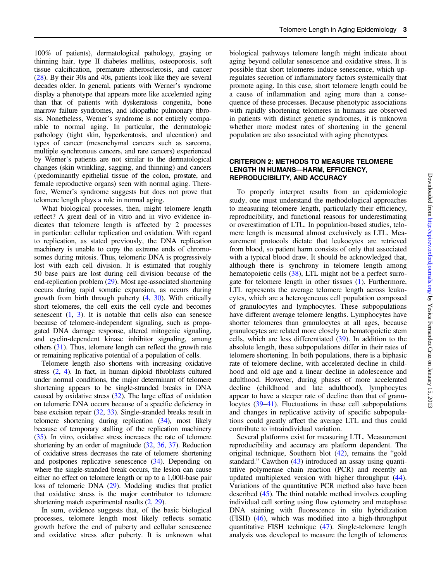100% of patients), dermatological pathology, graying or thinning hair, type II diabetes mellitus, osteoporosis, soft tissue calcification, premature atherosclerosis, and cancer [\(28\)](#page-17-0). By their 30s and 40s, patients look like they are several decades older. In general, patients with Werner's syndrome display a phenotype that appears more like accelerated aging than that of patients with dyskeratosis congenita, bone marrow failure syndromes, and idiopathic pulmonary fibrosis. Nonetheless, Werner's syndrome is not entirely comparable to normal aging. In particular, the dermatologic pathology (tight skin, hyperkeratosis, and ulceration) and types of cancer (mesenchymal cancers such as sarcoma, multiple synchronous cancers, and rare cancers) experienced by Werner's patients are not similar to the dermatological changes (skin wrinkling, sagging, and thinning) and cancers (predominantly epithelial tissue of the colon, prostate, and female reproductive organs) seen with normal aging. Therefore, Werner's syndrome suggests but does not prove that telomere length plays a role in normal aging.

What biological processes, then, might telomere length reflect? A great deal of in vitro and in vivo evidence indicates that telomere length is affected by 2 processes in particular: cellular replication and oxidation. With regard to replication, as stated previously, the DNA replication machinery is unable to copy the extreme ends of chromosomes during mitosis. Thus, telomeric DNA is progressively lost with each cell division. It is estimated that roughly 50 base pairs are lost during cell division because of the end-replication problem ([29](#page-17-0)). Most age-associated shortening occurs during rapid somatic expansion, as occurs during growth from birth through puberty [\(4](#page-16-0), [30](#page-17-0)). With critically short telomeres, the cell exits the cell cycle and becomes senescent  $(1, 3)$  $(1, 3)$  $(1, 3)$  $(1, 3)$ . It is notable that cells also can senesce because of telomere-independent signaling, such as propagated DNA damage response, altered mitogenic signaling, and cyclin-dependent kinase inhibitor signaling, among others ([31\)](#page-17-0). Thus, telomere length can reflect the growth rate or remaining replicative potential of a population of cells.

Telomere length also shortens with increasing oxidative stress [\(2](#page-16-0), [4](#page-16-0)). In fact, in human diploid fibroblasts cultured under normal conditions, the major determinant of telomere shortening appears to be single-stranded breaks in DNA caused by oxidative stress ([32\)](#page-17-0). The large effect of oxidation on telomeric DNA occurs because of a specific deficiency in base excision repair [\(32,](#page-17-0) [33](#page-17-0)). Single-stranded breaks result in telomere shortening during replication ([34\)](#page-17-0), most likely because of temporary stalling of the replication machinery [\(35\)](#page-17-0). In vitro, oxidative stress increases the rate of telomere shortening by an order of magnitude [\(32](#page-17-0), [36](#page-17-0), [37\)](#page-17-0). Reduction of oxidative stress decreases the rate of telomere shortening and postpones replicative senescence [\(34\)](#page-17-0). Depending on where the single-stranded break occurs, the lesion can cause either no effect on telomere length or up to a 1,000-base pair loss of telomeric DNA [\(29](#page-17-0)). Modeling studies that predict that oxidative stress is the major contributor to telomere shortening match experimental results [\(2](#page-16-0), [29](#page-17-0)).

In sum, evidence suggests that, of the basic biological processes, telomere length most likely reflects somatic growth before the end of puberty and cellular senescence and oxidative stress after puberty. It is unknown what biological pathways telomere length might indicate about aging beyond cellular senescence and oxidative stress. It is possible that short telomeres induce senescence, which upregulates secretion of inflammatory factors systemically that promote aging. In this case, short telomere length could be a cause of inflammation and aging more than a consequence of these processes. Because phenotypic associations with rapidly shortening telomeres in humans are observed in patients with distinct genetic syndromes, it is unknown whether more modest rates of shortening in the general population are also associated with aging phenotypes.

# CRITERION 2: METHODS TO MEASURE TELOMERE LENGTH IN HUMANS—HARM, EFFICIENCY, REPRODUCIBILITY, AND ACCURACY

To properly interpret results from an epidemiologic study, one must understand the methodological approaches to measuring telomere length, particularly their efficiency, reproducibility, and functional reasons for underestimating or overestimation of LTL. In population-based studies, telomere length is measured almost exclusively as LTL. Measurement protocols dictate that leukocytes are retrieved from blood, so patient harm consists of only that associated with a typical blood draw. It should be acknowledged that, although there is synchrony in telomere length among hematopoietic cells [\(38](#page-17-0)), LTL might not be a perfect surrogate for telomere length in other tissues ([1\)](#page-16-0). Furthermore, LTL represents the average telomere length across leukocytes, which are a heterogeneous cell population composed of granulocytes and lymphocytes. These subpopulations have different average telomere lengths. Lymphocytes have shorter telomeres than granulocytes at all ages, because granulocytes are related more closely to hematopoietic stem cells, which are less differentiated ([39\)](#page-17-0). In addition to the absolute length, these subpopulations differ in their rates of telomere shortening. In both populations, there is a biphasic rate of telomere decline, with accelerated decline in childhood and old age and a linear decline in adolescence and adulthood. However, during phases of more accelerated decline (childhood and late adulthood), lymphocytes appear to have a steeper rate of decline than that of granu-locytes ([39](#page-17-0)–[41\)](#page-17-0). Fluctuations in these cell subpopulations and changes in replicative activity of specific subpopulations could greatly affect the average LTL and thus could contribute to intraindividual variation.

Several platforms exist for measuring LTL. Measurement reproducibility and accuracy are platform dependent. The original technique, Southern blot ([42\)](#page-17-0), remains the "gold standard." Cawthon [\(43](#page-17-0)) introduced an assay using quantitative polymerase chain reaction (PCR) and recently an updated multiplexed version with higher throughput [\(44](#page-17-0)). Variations of the quantitative PCR method also have been described [\(45](#page-17-0)). The third notable method involves coupling individual cell sorting using flow cytometry and metaphase DNA staining with fluorescence in situ hybridization (FISH) ([46\)](#page-17-0), which was modified into a high-throughput quantitative FISH technique [\(47](#page-18-0)). Single-telomere length analysis was developed to measure the length of telomeres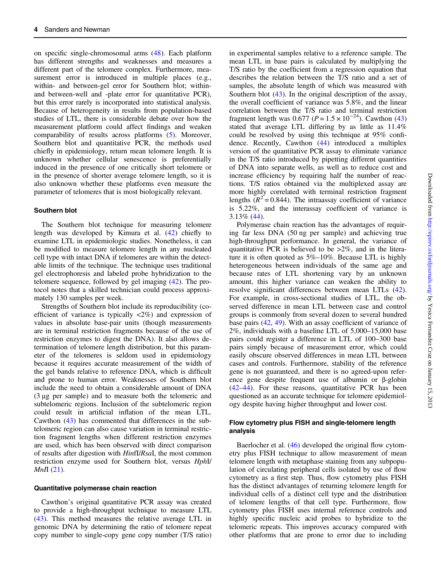on specific single-chromosomal arms ([48\)](#page-18-0). Each platform has different strengths and weaknesses and measures a different part of the telomere complex. Furthermore, measurement error is introduced in multiple places (e.g., within- and between-gel error for Southern blot; withinand between-well and -plate error for quantitative PCR), but this error rarely is incorporated into statistical analysis. Because of heterogeneity in results from population-based studies of LTL, there is considerable debate over how the measurement platform could affect findings and weaken comparability of results across platforms ([5](#page-17-0)). Moreover, Southern blot and quantitative PCR, the methods used chiefly in epidemiology, return mean telomere length. It is unknown whether cellular senescence is preferentially induced in the presence of one critically short telomere or in the presence of shorter average telomere length, so it is also unknown whether these platforms even measure the parameter of telomeres that is most biologically relevant.

#### Southern blot

The Southern blot technique for measuring telomere length was developed by Kimura et al. ([42\)](#page-17-0) chiefly to examine LTL in epidemiologic studies. Nonetheless, it can be modified to measure telomere length in any nucleated cell type with intact DNA if telomeres are within the detectable limits of the technique. The technique uses traditional gel electrophoresis and labeled probe hybridization to the telomere sequence, followed by gel imaging [\(42](#page-17-0)). The protocol notes that a skilled technician could process approximately 130 samples per week.

Strengths of Southern blot include its reproducibility (coefficient of variance is typically  $\langle 2\% \rangle$  and expression of values in absolute base-pair units (though measurements are in terminal restriction fragments because of the use of restriction enzymes to digest the DNA). It also allows determination of telomere length distribution, but this parameter of the telomeres is seldom used in epidemiology because it requires accurate measurement of the width of the gel bands relative to reference DNA, which is difficult and prone to human error. Weaknesses of Southern blot include the need to obtain a considerable amount of DNA (3 μg per sample) and to measure both the telomeric and subtelomeric regions. Inclusion of the subtelomeric region could result in artificial inflation of the mean LTL. Cawthon ([43\)](#page-17-0) has commented that differences in the subtelomeric region can also cause variation in terminal restriction fragment lengths when different restriction enzymes are used, which has been observed with direct comparison of results after digestion with HinfI/RsaI, the most common restriction enzyme used for Southern blot, versus HphI/  $MnI(21)$  $MnI(21)$ .

#### Quantitative polymerase chain reaction

Cawthon's original quantitative PCR assay was created to provide a high-throughput technique to measure LTL [\(43](#page-17-0)). This method measures the relative average LTL in genomic DNA by determining the ratio of telomere repeat copy number to single-copy gene copy number (T/S ratio) in experimental samples relative to a reference sample. The mean LTL in base pairs is calculated by multiplying the T/S ratio by the coefficient from a regression equation that describes the relation between the T/S ratio and a set of samples, the absolute length of which was measured with Southern blot  $(43)$  $(43)$ . In the original description of the assay, the overall coefficient of variance was 5.8%, and the linear correlation between the T/S ratio and terminal restriction fragment length was 0.677 ( $P = 1.5 \times 10^{-24}$ ). Cawthon ([43\)](#page-17-0) stated that average LTL differing by as little as 11.4% could be resolved by using this technique at 95% confidence. Recently, Cawthon ([44\)](#page-17-0) introduced a multiplex version of the quantitative PCR assay to eliminate variance in the T/S ratio introduced by pipetting different quantities of DNA into separate wells, as well as to reduce cost and increase efficiency by requiring half the number of reactions. T/S ratios obtained via the multiplexed assay are more highly correlated with terminal restriction fragment lengths ( $R^2$  = 0.844). The intraassay coefficient of variance is 5.22%, and the interassay coefficient of variance is 3.13% ([44\)](#page-17-0).

Polymerase chain reaction has the advantages of requiring far less DNA (50 ng per sample) and achieving true high-throughput performance. In general, the variance of quantitative PCR is believed to be  $>2\%$ , and in the literature it is often quoted as 5%–10%. Because LTL is highly heterogeneous between individuals of the same age and because rates of LTL shortening vary by an unknown amount, this higher variance can weaken the ability to resolve significant differences between mean LTLs [\(42](#page-17-0)). For example, in cross-sectional studies of LTL, the observed difference in mean LTL between case and control groups is commonly from several dozen to several hundred base pairs ([42,](#page-17-0) [49](#page-18-0)). With an assay coefficient of variance of 2%, individuals with a baseline LTL of 5,000–15,000 base pairs could register a difference in LTL of 100–300 base pairs simply because of measurement error, which could easily obscure observed differences in mean LTL between cases and controls. Furthermore, stability of the reference gene is not guaranteed, and there is no agreed-upon reference gene despite frequent use of albumin or β-globin [\(42](#page-17-0)–[44](#page-17-0)). For these reasons, quantitative PCR has been questioned as an accurate technique for telomere epidemiology despite having higher throughput and lower cost.

## Flow cytometry plus FISH and single-telomere length analysis

Baerlocher et al. ([46\)](#page-17-0) developed the original flow cytometry plus FISH technique to allow measurement of mean telomere length with metaphase staining from any subpopulation of circulating peripheral cells isolated by use of flow cytometry as a first step. Thus, flow cytometry plus FISH has the distinct advantages of returning telomere length for individual cells of a distinct cell type and the distribution of telomere lengths of that cell type. Furthermore, flow cytometry plus FISH uses internal reference controls and highly specific nucleic acid probes to hybridize to the telomeric repeats. This improves accuracy compared with other platforms that are prone to error due to including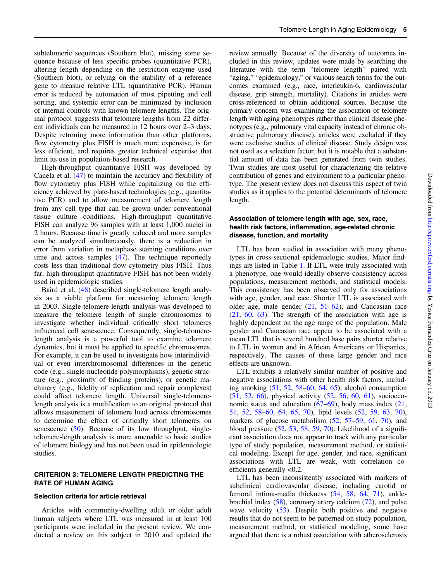subtelomeric sequences (Southern blot), missing some sequence because of less specific probes (quantitative PCR), altering length depending on the restriction enzyme used (Southern blot), or relying on the stability of a reference gene to measure relative LTL (quantitative PCR). Human error is reduced by automation of most pipetting and cell sorting, and systemic error can be minimized by inclusion of internal controls with known telomere lengths. The original protocol suggests that telomere lengths from 22 different individuals can be measured in 12 hours over 2–3 days. Despite returning more information than other platforms, flow cytometry plus FISH is much more expensive, is far less efficient, and requires greater technical expertise that limit its use in population-based research.

High-throughput quantitative FISH was developed by Canela et al. [\(47](#page-18-0)) to maintain the accuracy and flexibility of flow cytometry plus FISH while capitalizing on the efficiency achieved by plate-based technologies (e.g., quantitative PCR) and to allow measurement of telomere length from any cell type that can be grown under conventional tissue culture conditions. High-throughput quantitative FISH can analyze 96 samples with at least 1,000 nuclei in 2 hours. Because time is greatly reduced and more samples can be analyzed simultaneously, there is a reduction in error from variation in metaphase staining conditions over time and across samples ([47\)](#page-18-0). The technique reportedly costs less than traditional flow cytometry plus FISH. Thus far, high-throughput quantitative FISH has not been widely used in epidemiologic studies.

Baird et al. ([48\)](#page-18-0) described single-telomere length analysis as a viable platform for measuring telomere length in 2003. Single-telomere-length analysis was developed to measure the telomere length of single chromosomes to investigate whether individual critically short telomeres influenced cell senescence. Consequently, single-telomerelength analysis is a powerful tool to examine telomere dynamics, but it must be applied to specific chromosomes. For example, it can be used to investigate how interindividual or even interchromosomal differences in the genetic code (e.g., single-nucleotide polymorphisms), genetic structure (e.g., proximity of binding proteins), or genetic machinery (e.g., fidelity of replication and repair complexes) could affect telomere length. Universal single-telomerelength analysis is a modification to an original protocol that allows measurement of telomere load across chromosomes to determine the effect of critically short telomeres on senescence  $(50)$  $(50)$ . Because of its low throughput, singletelomere-length analysis is more amenable to basic studies of telomere biology and has not been used in epidemiologic studies.

# CRITERION 3: TELOMERE LENGTH PREDICTING THE RATE OF HUMAN AGING

## Selection criteria for article retrieval

Articles with community-dwelling adult or older adult human subjects where LTL was measured in at least 100 participants were included in the present review. We conducted a review on this subject in 2010 and updated the review annually. Because of the diversity of outcomes included in this review, updates were made by searching the literature with the term "telomere length" paired with "aging," "epidemiology," or various search terms for the outcomes examined (e.g., race, interleukin-6, cardiovascular disease, grip strength, mortality). Citations in articles were cross-referenced to obtain additional sources. Because the primary concern was examining the association of telomere length with aging phenotypes rather than clinical disease phenotypes (e.g., pulmonary vital capacity instead of chronic obstructive pulmonary disease), articles were excluded if they were exclusive studies of clinical disease. Study design was not used as a selection factor, but it is notable that a substantial amount of data has been generated from twin studies. Twin studies are most useful for characterizing the relative contribution of genes and environment to a particular phenotype. The present review does not discuss this aspect of twin studies as it applies to the potential determinants of telomere length.

# Association of telomere length with age, sex, race, health risk factors, inflammation, age-related chronic disease, function, and mortality

LTL has been studied in association with many phenotypes in cross-sectional epidemiologic studies. Major findings are listed in Table [1](#page-5-0). If LTL were truly associated with a phenotype, one would ideally observe consistency across populations, measurement methods, and statistical models. This consistency has been observed only for associations with age, gender, and race. Shorter LTL is associated with older age, male gender  $(21, 51-62)$  $(21, 51-62)$  $(21, 51-62)$  $(21, 51-62)$  $(21, 51-62)$ , and Caucasian race [\(21](#page-17-0), [60](#page-18-0), [63](#page-18-0)). The strength of the association with age is highly dependent on the age range of the population. Male gender and Caucasian race appear to be associated with a mean LTL that is several hundred base pairs shorter relative to LTL in women and in African Americans or Hispanics, respectively. The causes of these large gender and race effects are unknown.

LTL exhibits a relatively similar number of positive and negative associations with other health risk factors, including smoking [\(51](#page-18-0), [52](#page-18-0), [58](#page-18-0)–[60,](#page-18-0) [64,](#page-18-0) [65\)](#page-18-0), alcohol consumption [\(51](#page-18-0), [52](#page-18-0), [66\)](#page-18-0), physical activity ([52,](#page-18-0) [56,](#page-18-0) [60](#page-18-0), [61](#page-18-0)), socioeconomic status and education  $(67–69)$  $(67–69)$  $(67–69)$  $(67–69)$ , body mass index  $(21, 1)$  $(21, 1)$ [51](#page-18-0), [52,](#page-18-0) [58](#page-18-0)–[60,](#page-18-0) [64,](#page-18-0) [65,](#page-18-0) [70\)](#page-18-0), lipid levels ([52,](#page-18-0) [59](#page-18-0), [63](#page-18-0), [70](#page-18-0)), markers of glucose metabolism ([52,](#page-18-0) [57](#page-18-0)–[59](#page-18-0), [61](#page-18-0), [70](#page-18-0)), and blood pressure  $(52, 53, 58, 59, 70)$  $(52, 53, 58, 59, 70)$  $(52, 53, 58, 59, 70)$  $(52, 53, 58, 59, 70)$  $(52, 53, 58, 59, 70)$  $(52, 53, 58, 59, 70)$  $(52, 53, 58, 59, 70)$  $(52, 53, 58, 59, 70)$  $(52, 53, 58, 59, 70)$  $(52, 53, 58, 59, 70)$ . Likelihood of a significant association does not appear to track with any particular type of study population, measurement method, or statistical modeling. Except for age, gender, and race, significant associations with LTL are weak, with correlation coefficients generally <0.2.

LTL has been inconsistently associated with markers of subclinical cardiovascular disease, including carotid or femoral intima-media thickness [\(54](#page-18-0), [58](#page-18-0), [64](#page-18-0), [71](#page-18-0)), anklebrachial index  $(58)$  $(58)$ , coronary artery calcium  $(72)$  $(72)$ , and pulse wave velocity [\(53](#page-18-0)). Despite both positive and negative results that do not seem to be patterned on study population, measurement method, or statistical modeling, some have argued that there is a robust association with atherosclerosis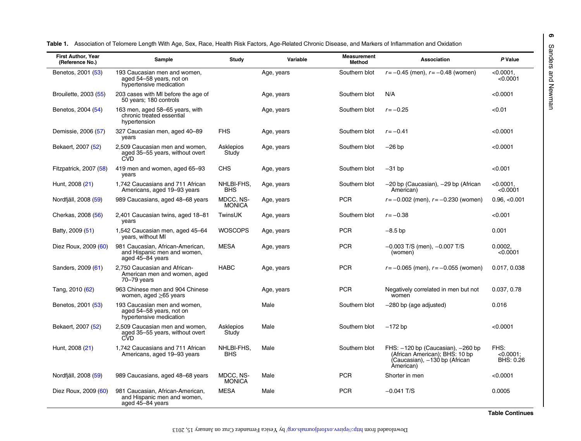| <b>First Author, Year</b><br>(Reference No.) | Sample                                                                              | <b>Study</b>                               | Variable   | <b>Measurement</b><br><b>Method</b> | <b>Association</b>                                                                                                     | P Value                           |
|----------------------------------------------|-------------------------------------------------------------------------------------|--------------------------------------------|------------|-------------------------------------|------------------------------------------------------------------------------------------------------------------------|-----------------------------------|
| Benetos, 2001 (53)                           | 193 Caucasian men and women,<br>aged 54-58 years, not on<br>hypertensive medication |                                            | Age, years | Southern blot                       | $r = -0.45$ (men), $r = -0.48$ (women)                                                                                 | $< 0.0001$ ,<br>< 0.0001          |
| Brouilette, 2003 (55)                        | 203 cases with MI before the age of<br>50 years; 180 controls                       |                                            | Age, years | Southern blot                       | N/A                                                                                                                    | < 0.0001                          |
| Benetos, 2004 (54)                           | 163 men, aged 58–65 years, with<br>chronic treated essential<br>hypertension        | Southern blot<br>$r = -0.25$<br>Age, years |            |                                     | < 0.01                                                                                                                 |                                   |
| Demissie, 2006 (57)                          | 327 Caucasian men, aged 40-89<br>years                                              | <b>FHS</b>                                 | Age, years | Southern blot                       | $r = -0.41$                                                                                                            | < 0.0001                          |
| Bekaert, 2007 (52)                           | 2,509 Caucasian men and women,<br>aged 35–55 years, without overt<br><b>CVD</b>     | Asklepios<br>Study                         | Age, years | Southern blot                       | $-26$ bp                                                                                                               | <0.0001                           |
| Fitzpatrick, 2007 (58)                       | 419 men and women, aged 65-93<br>vears                                              | <b>CHS</b>                                 | Age, years | Southern blot                       | $-31$ bp                                                                                                               | < 0.001                           |
| Hunt, 2008 (21)                              | 1,742 Caucasians and 711 African<br>Americans, aged 19–93 years                     | NHLBI-FHS,<br><b>BHS</b>                   | Age, years | Southern blot                       | -20 bp (Caucasian), -29 bp (African<br>American)                                                                       | $< 0.0001$ ,<br>< 0.0001          |
| Nordfjäll, 2008 (59)                         | 989 Caucasians, aged 48-68 years                                                    | MDCC, NS-<br><b>MONICA</b>                 | Age, years | <b>PCR</b>                          | $r = -0.002$ (men), $r = -0.230$ (women)                                                                               | $0.96, < 0.001$                   |
| Cherkas, 2008 (56)                           | 2,401 Caucasian twins, aged 18-81<br>years                                          | TwinsUK                                    | Age, years | Southern blot                       | $r = -0.38$                                                                                                            | < 0.001                           |
| Batty, 2009 (51)                             | 1,542 Caucasian men, aged 45-64<br>years, without MI                                | <b>WOSCOPS</b>                             | Age, years | <b>PCR</b>                          | $-8.5$ bp                                                                                                              | 0.001                             |
| Diez Roux, 2009 (60)                         | 981 Caucasian, African-American,<br>and Hispanic men and women,<br>aged 45-84 years | <b>MESA</b>                                | Age, years | <b>PCR</b>                          | $-0.003$ T/S (men), $-0.007$ T/S<br>(women)                                                                            | 0.0002,<br>< 0.0001               |
| Sanders, 2009 (61)                           | 2,750 Caucasian and African-<br>American men and women, aged<br>$70 - 79$ years     | <b>HABC</b>                                | Age, years | <b>PCR</b>                          | $r = -0.065$ (men), $r = -0.055$ (women)                                                                               | 0.017, 0.038                      |
| Tang, 2010 (62)                              | 963 Chinese men and 904 Chinese<br>women, aged $\geq 65$ years                      |                                            | Age, years | <b>PCR</b>                          | Negatively correlated in men but not<br>women                                                                          | 0.037, 0.78                       |
| Benetos, 2001 (53)                           | 193 Caucasian men and women,<br>aged 54–58 years, not on<br>hypertensive medication |                                            | Male       | Southern blot                       | $-280$ bp (age adjusted)                                                                                               | 0.016                             |
| Bekaert, 2007 (52)                           | 2,509 Caucasian men and women,<br>aged 35–55 years, without overt<br>CVD            | Asklepios<br>Study                         | Male       | Southern blot                       | $-172$ bp                                                                                                              | < 0.0001                          |
| Hunt, 2008 (21)                              | 1,742 Caucasians and 711 African<br>Americans, aged 19–93 years                     | NHLBI-FHS,<br><b>BHS</b>                   | Male       | Southern blot                       | FHS: $-120$ bp (Caucasian), $-260$ bp<br>(African American); BHS: 10 bp<br>(Caucasian), -130 bp (African)<br>American) | FHS:<br>$< 0.0001$ ;<br>BHS: 0.26 |
| Nordfjäll, 2008 (59)                         | 989 Caucasians, aged 48–68 years                                                    | MDCC, NS-<br><b>MONICA</b>                 | Male       | <b>PCR</b>                          | Shorter in men                                                                                                         | <0.0001                           |
| Diez Roux, 2009 (60)                         | 981 Caucasian, African-American,<br>and Hispanic men and women,<br>aged 45–84 years | <b>MESA</b>                                | Male       | <b>PCR</b>                          | $-0.041$ T/S                                                                                                           | 0.0005                            |

<span id="page-5-0"></span>Table 1. Association of Telomere Length With Age, Sex, Race, Health Risk Factors, Age-Related Chronic Disease, and Markers of Inflammation and Oxidation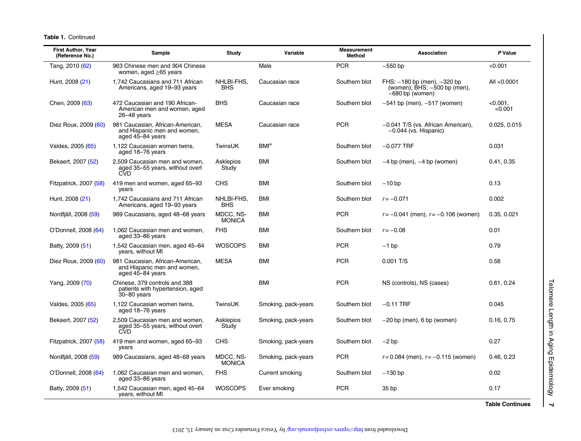**Table 1. Continued** 

| <b>First Author, Year</b><br>(Reference No.) | Sample                                                                               | <b>Study</b>               | Variable            | <b>Measurement</b><br>Method | Association                                                                      | P Value                |
|----------------------------------------------|--------------------------------------------------------------------------------------|----------------------------|---------------------|------------------------------|----------------------------------------------------------------------------------|------------------------|
| Tang, 2010 (62)                              | 963 Chinese men and 904 Chinese<br>women, aged $\geq 65$ years                       |                            | Male                | <b>PCR</b>                   | $-550$ bp                                                                        | < 0.001                |
| Hunt, 2008 (21)                              | 1,742 Caucasians and 711 African<br>Americans, aged 19–93 years                      | NHLBI-FHS,<br><b>BHS</b>   | Caucasian race      | Southern blot                | FHS: -180 bp (men), -320 bp<br>(women); BHS: -500 bp (men),<br>$-680$ bp (women) | All <0.0001            |
| Chen, 2009 (63)                              | 472 Caucasian and 190 African-<br>American men and women, aged<br>$26 - 48$ years    | <b>BHS</b>                 | Caucasian race      | Southern blot                | $-541$ bp (men), $-517$ (women)                                                  | $< 0.001$ ,<br>< 0.001 |
| Diez Roux, 2009 (60)                         | 981 Caucasian, African-American,<br>and Hispanic men and women,<br>aged 45-84 years  | <b>MESA</b>                | Caucasian race      | <b>PCR</b>                   | -0.041 T/S (vs. African American),<br>$-0.044$ (vs. Hispanic)                    | 0.025, 0.015           |
| Valdes, 2005 (65)                            | 1,122 Caucasian women twins,<br>aged 18–76 years                                     | TwinsUK                    | BM <sup>a</sup>     | Southern blot                | $-0.077$ TRF                                                                     | 0.031                  |
| Bekaert, 2007 (52)                           | 2,509 Caucasian men and women,<br>aged 35–55 years, without overt<br>CVD             | Asklepios<br>Study         | <b>BMI</b>          | Southern blot                | $-4$ bp (men), $-4$ bp (women)                                                   | 0.41, 0.35             |
| Fitzpatrick, 2007 (58)                       | 419 men and women, aged 65–93<br>vears                                               | <b>CHS</b>                 | <b>BMI</b>          | Southern blot                | $-10$ bp                                                                         | 0.13                   |
| Hunt, 2008 (21)                              | 1,742 Caucasians and 711 African<br>Americans, aged 19-93 years                      | NHLBI-FHS,<br><b>BHS</b>   | <b>BMI</b>          | Southern blot                | $r = -0.071$                                                                     | 0.002                  |
| Nordfjäll, 2008 (59)                         | 989 Caucasians, aged 48-68 years                                                     | MDCC, NS-<br><b>MONICA</b> | <b>BMI</b>          | <b>PCR</b>                   | $r = -0.041$ (men), $r = -0.106$ (women)                                         | 0.35, 0.021            |
| O'Donnell, 2008 (64)                         | 1,062 Caucasian men and women,<br>aged 33-86 years                                   | <b>FHS</b>                 | <b>BMI</b>          | Southern blot                | $r = -0.08$                                                                      | 0.01                   |
| Batty, 2009 (51)                             | 1,542 Caucasian men, aged 45-64<br>years, without MI                                 | <b>WOSCOPS</b>             | <b>BMI</b>          | <b>PCR</b>                   | $-1$ bp                                                                          | 0.79                   |
| Diez Roux, 2009 (60)                         | 981 Caucasian, African-American,<br>and Hispanic men and women,<br>aged 45-84 years  | <b>MESA</b>                | <b>BMI</b>          | <b>PCR</b>                   | $0.001$ T/S                                                                      | 0.58                   |
| Yang, 2009 (70)                              | Chinese, 379 controls and 388<br>patients with hypertension, aged<br>$30 - 80$ years |                            | <b>BMI</b>          | <b>PCR</b>                   | NS (controls), NS (cases)                                                        | 0.61, 0.24             |
| Valdes, 2005 (65)                            | 1,122 Caucasian women twins,<br>aged 18-76 years                                     | TwinsUK                    | Smoking, pack-years | Southern blot                | $-0.11$ TRF                                                                      | 0.045                  |
| Bekaert, 2007 (52)                           | 2.509 Caucasian men and women.<br>aged 35–55 years, without overt<br><b>CVD</b>      | Asklepios<br>Study         | Smoking, pack-years | Southern blot                | $-20$ bp (men), 6 bp (women)                                                     | 0.16, 0.75             |
| Fitzpatrick, 2007 (58)                       | 419 men and women, aged 65–93<br>years                                               | <b>CHS</b>                 | Smoking, pack-years | Southern blot                | $-2$ bp                                                                          | 0.27                   |
| Nordfjäll, 2008 (59)                         | 989 Caucasians, aged 48-68 years                                                     | MDCC, NS-<br><b>MONICA</b> | Smoking, pack-years | <b>PCR</b>                   | $r = 0.084$ (men), $r = -0.115$ (women)                                          | 0.46, 0.23             |
| O'Donnell, 2008 (64)                         | 1,062 Caucasian men and women,<br>aged 33-86 years                                   | <b>FHS</b>                 | Current smoking     | Southern blot                | $-130$ bp                                                                        | 0.02                   |
| Batty, 2009 (51)                             | 1,542 Caucasian men, aged 45-64<br>years, without MI                                 | <b>WOSCOPS</b>             | Ever smoking        | <b>PCR</b>                   | 35 <sub>bp</sub>                                                                 | 0.17                   |

Telomere Length in Aging Epidemiology Telomere Length in Aging Epidemiology  $\overline{\phantom{0}}$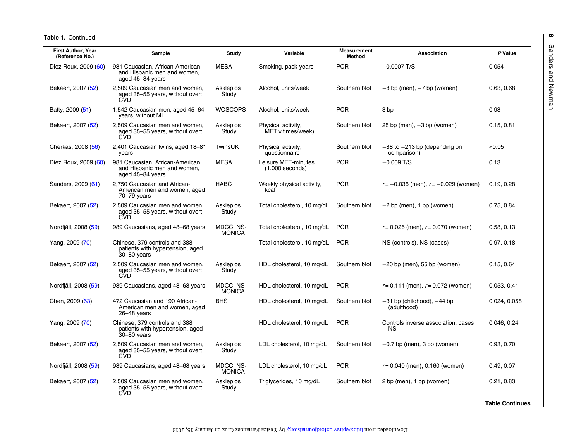| <b>First Author, Year</b><br>(Reference No.) | Sample                                                                               | <b>Study</b>               | Variable                                       | <b>Measurement</b><br><b>Method</b> | Association                                     | P Value      |  |
|----------------------------------------------|--------------------------------------------------------------------------------------|----------------------------|------------------------------------------------|-------------------------------------|-------------------------------------------------|--------------|--|
| Diez Roux, 2009 (60)                         | 981 Caucasian, African-American,<br>and Hispanic men and women,<br>aged 45-84 years  | <b>MESA</b>                | Smoking, pack-years                            | <b>PCR</b>                          | $-0.0007$ T/S                                   | 0.054        |  |
| Bekaert, 2007 (52)                           | 2,509 Caucasian men and women,<br>aged 35-55 years, without overt<br><b>CVD</b>      | Asklepios<br>Study         | Alcohol, units/week                            | Southern blot                       | $-8$ bp (men), $-7$ bp (women)                  | 0.63, 0.68   |  |
| Batty, 2009 (51)                             | 1,542 Caucasian men, aged 45-64<br>years, without MI                                 | <b>WOSCOPS</b>             | Alcohol, units/week                            | <b>PCR</b>                          | 3 bp                                            | 0.93         |  |
| Bekaert, 2007 (52)                           | 2,509 Caucasian men and women,<br>aged 35–55 years, without overt<br>CVD             | Asklepios<br>Study         | Physical activity,<br>$MET \times$ times/week) | Southern blot                       | $25$ bp (men), $-3$ bp (women)                  | 0.15, 0.81   |  |
| Cherkas, 2008 (56)                           | 2,401 Caucasian twins, aged 18-81<br>years                                           | TwinsUK                    | Physical activity,<br>questionnaire            | Southern blot                       | $-88$ to $-213$ bp (depending on<br>comparison) | < 0.05       |  |
| Diez Roux, 2009 (60)                         | 981 Caucasian, African-American,<br>and Hispanic men and women,<br>aged 45-84 years  | <b>MESA</b>                | Leisure MET-minutes<br>$(1,000$ seconds)       | <b>PCR</b>                          | $-0.009$ T/S                                    | 0.13         |  |
| Sanders, 2009 (61)                           | 2,750 Caucasian and African-<br>American men and women, aged<br>$70 - 79$ years      | <b>HABC</b>                | Weekly physical activity,<br>kcal              | <b>PCR</b>                          | $r = -0.036$ (men), $r = -0.029$ (women)        | 0.19, 0.28   |  |
| Bekaert, 2007 (52)                           | 2,509 Caucasian men and women,<br>aged 35–55 years, without overt<br><b>CVD</b>      | Asklepios<br>Study         | Total cholesterol, 10 mg/dL                    | Southern blot                       | $-2$ bp (men), 1 bp (women)                     | 0.75, 0.84   |  |
| Nordfjäll, 2008 (59)                         | 989 Caucasians, aged 48–68 years                                                     | MDCC, NS-<br>MONICA        | Total cholesterol, 10 mg/dL                    | <b>PCR</b>                          | $r = 0.026$ (men), $r = 0.070$ (women)          | 0.58, 0.13   |  |
| Yang, 2009 (70)                              | Chinese, 379 controls and 388<br>patients with hypertension, aged<br>30-80 years     |                            | Total cholesterol, 10 mg/dL                    | <b>PCR</b>                          | NS (controls), NS (cases)                       | 0.97, 0.18   |  |
| Bekaert, 2007 (52)                           | 2,509 Caucasian men and women,<br>aged 35–55 years, without overt<br><b>CVD</b>      | Asklepios<br>Study         | HDL cholesterol, 10 mg/dL                      | Southern blot                       | $-20$ bp (men), 55 bp (women)                   | 0.15, 0.64   |  |
| Nordfjäll, 2008 (59)                         | 989 Caucasians, aged 48–68 years                                                     | MDCC, NS-<br><b>MONICA</b> | HDL cholesterol, 10 mg/dL                      | <b>PCR</b>                          | $r = 0.111$ (men), $r = 0.072$ (women)          | 0.053, 0.41  |  |
| Chen, 2009 (63)                              | 472 Caucasian and 190 African-<br>American men and women, aged<br>26–48 years        | <b>BHS</b>                 | HDL cholesterol, 10 mg/dL                      | Southern blot                       | $-31$ bp (childhood), $-44$ bp<br>(adulthood)   | 0.024, 0.058 |  |
| Yang, 2009 (70)                              | Chinese, 379 controls and 388<br>patients with hypertension, aged<br>$30 - 80$ years |                            | HDL cholesterol, 10 mg/dL                      | <b>PCR</b>                          | Controls inverse association, cases<br>ΝS       | 0.046, 0.24  |  |
| Bekaert, 2007 (52)                           | 2,509 Caucasian men and women,<br>aged 35–55 years, without overt<br><b>CVD</b>      | Asklepios<br>Study         | LDL cholesterol, 10 mg/dL                      | Southern blot                       | $-0.7$ bp (men), 3 bp (women)                   | 0.93, 0.70   |  |
| Nordfjäll, 2008 (59)                         | 989 Caucasians, aged 48–68 years                                                     | MDCC, NS-<br><b>MONICA</b> | LDL cholesterol, 10 mg/dL                      | <b>PCR</b>                          | $r = 0.040$ (men), 0.160 (women)                | 0.49, 0.07   |  |
| Bekaert, 2007 (52)                           | 2,509 Caucasian men and women,<br>aged 35–55 years, without overt<br><b>CVD</b>      | Asklepios<br>Study         | Triglycerides, 10 mg/dL                        | Southern blot                       | 2 bp (men), 1 bp (women)                        | 0.21, 0.83   |  |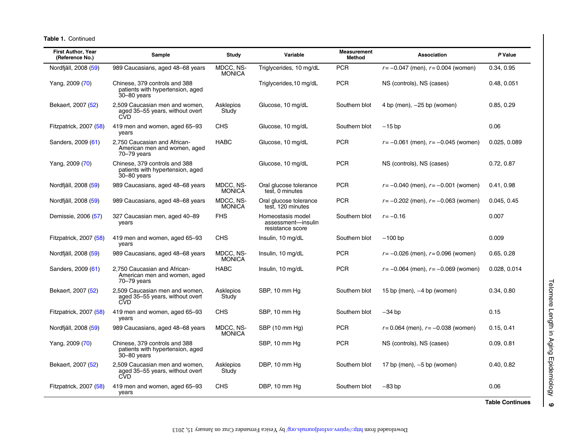|  |  |  | <b>Table 1. Continued</b> |
|--|--|--|---------------------------|
|--|--|--|---------------------------|

| <b>First Author, Year</b><br>(Reference No.) | Sample                                                                               | <b>Study</b>                        | Variable                                                    | <b>Measurement</b><br><b>Method</b> | Association                              | P Value      |
|----------------------------------------------|--------------------------------------------------------------------------------------|-------------------------------------|-------------------------------------------------------------|-------------------------------------|------------------------------------------|--------------|
| Nordfjäll, 2008 (59)                         | 989 Caucasians, aged 48-68 years                                                     | MDCC, NS-<br><b>MONICA</b>          | Triglycerides, 10 mg/dL                                     | <b>PCR</b>                          | $r = -0.047$ (men), $r = 0.004$ (women)  | 0.34, 0.95   |
| Yang, 2009 (70)                              | Chinese, 379 controls and 388<br>patients with hypertension, aged<br>$30 - 80$ years | Triglycerides, 10 mg/dL             |                                                             | <b>PCR</b>                          | NS (controls), NS (cases)                | 0.48, 0.051  |
| Bekaert, 2007 (52)                           | 2,509 Caucasian men and women,<br>aged 35-55 years, without overt<br><b>CVD</b>      | Asklepios<br>Study                  | Glucose, 10 mg/dL                                           | Southern blot                       | 4 bp (men), -25 bp (women)               | 0.85, 0.29   |
| Fitzpatrick, 2007 (58)                       | 419 men and women, aged 65–93<br>vears                                               | <b>CHS</b>                          | Glucose, 10 mg/dL                                           | Southern blot                       | $-15$ bp                                 | 0.06         |
| Sanders, 2009 (61)                           | 2,750 Caucasian and African-<br>American men and women, aged<br>$70 - 79$ years      | <b>HABC</b>                         | Glucose, 10 mg/dL                                           | <b>PCR</b>                          | $r = -0.061$ (men), $r = -0.045$ (women) | 0.025, 0.089 |
| Yang, 2009 (70)                              | Chinese, 379 controls and 388<br>patients with hypertension, aged<br>$30 - 80$ years |                                     | Glucose, 10 mg/dL                                           | <b>PCR</b>                          | NS (controls), NS (cases)                | 0.72, 0.87   |
| Nordfjäll, 2008 (59)                         | 989 Caucasians, aged 48-68 years                                                     | MDCC, NS-<br><b>MONICA</b>          | Oral glucose tolerance<br>test, 0 minutes                   | <b>PCR</b>                          | $r = -0.040$ (men), $r = -0.001$ (women) | 0.41, 0.98   |
| Nordfjäll, 2008 (59)                         | 989 Caucasians, aged 48–68 years                                                     | MDCC, NS-<br><b>MONICA</b>          | Oral glucose tolerance<br>test, 120 minutes                 | <b>PCR</b>                          | $r = -0.202$ (men), $r = -0.063$ (women) | 0.045, 0.45  |
| Demissie, 2006 (57)                          | 327 Caucasian men, aged 40-89<br>years                                               | <b>FHS</b>                          | Homeostasis model<br>assessment-insulin<br>resistance score | Southern blot                       | $r = -0.16$                              | 0.007        |
| Fitzpatrick, 2007 (58)                       | 419 men and women, aged 65-93<br>years                                               | <b>CHS</b>                          | Insulin, 10 mg/dL                                           | Southern blot                       | $-100$ bp                                | 0.009        |
| Nordfjäll, 2008 (59)                         | 989 Caucasians, aged 48–68 years                                                     | MDCC, NS-<br><b>MONICA</b>          | Insulin, 10 mg/dL                                           | <b>PCR</b>                          | $r = -0.026$ (men), $r = 0.096$ (women)  | 0.65, 0.28   |
| Sanders, 2009 (61)                           | 2,750 Caucasian and African-<br>American men and women, aged<br>70-79 years          | <b>HABC</b>                         | Insulin, 10 mg/dL                                           | <b>PCR</b>                          | $r = -0.064$ (men), $r = -0.069$ (women) | 0.028, 0.014 |
| Bekaert, 2007 (52)                           | 2,509 Caucasian men and women,<br>aged 35–55 years, without overt<br>CVD             | Asklepios<br>SBP, 10 mm Hg<br>Study |                                                             | Southern blot                       | 15 bp (men), $-4$ bp (women)             | 0.34, 0.80   |
| Fitzpatrick, 2007 (58)                       | 419 men and women, aged 65–93<br>years                                               | <b>CHS</b>                          | SBP, 10 mm Hg                                               | Southern blot                       | $-34$ bp                                 | 0.15         |
| Nordfjäll, 2008 (59)                         | 989 Caucasians, aged 48-68 years                                                     | MDCC, NS-<br><b>MONICA</b>          | SBP (10 mm Hg)                                              | <b>PCR</b>                          | $r = 0.064$ (men), $r = -0.038$ (women)  | 0.15, 0.41   |
| Yang, 2009 (70)                              | Chinese, 379 controls and 388<br>patients with hypertension, aged<br>$30 - 80$ years |                                     | SBP, 10 mm Hg                                               | <b>PCR</b>                          | NS (controls), NS (cases)                | 0.09, 0.81   |
| Bekaert, 2007 (52)                           | 2,509 Caucasian men and women,<br>aged 35-55 years, without overt<br><b>CVD</b>      | Asklepios<br>Study                  | DBP, 10 mm Hg                                               | Southern blot                       | 17 bp (men), $-5$ bp (women)             | 0.40, 0.82   |
| Fitzpatrick, 2007 (58)                       | 419 men and women, aged 65–93<br>years                                               | <b>CHS</b>                          | DBP, 10 mm Hg                                               | Southern blot                       | $-83$ bp                                 | 0.06         |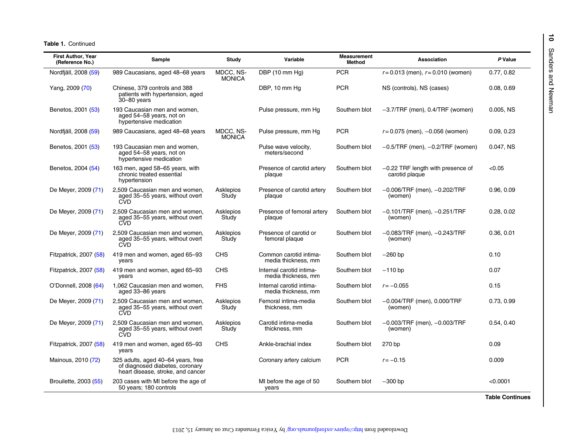**Table 1. Continued** 

| First Author, Year<br>(Reference No.) | <b>Measurement</b><br><b>Sample</b><br>Study<br>Variable<br>Method                                         |                            | Association                                     | P Value       |                                                     |              |
|---------------------------------------|------------------------------------------------------------------------------------------------------------|----------------------------|-------------------------------------------------|---------------|-----------------------------------------------------|--------------|
| Nordfjäll, 2008 (59)                  | 989 Caucasians, aged 48-68 years                                                                           | MDCC, NS-<br><b>MONICA</b> | DBP (10 mm Hq)                                  | <b>PCR</b>    | $r = 0.013$ (men), $r = 0.010$ (women)              | 0.77, 0.82   |
| Yang, 2009 (70)                       | Chinese, 379 controls and 388<br>patients with hypertension, aged<br>30-80 years                           |                            | DBP, 10 mm Hq                                   | <b>PCR</b>    | NS (controls), NS (cases)                           | 0.08, 0.69   |
| Benetos, 2001 (53)                    | 193 Caucasian men and women,<br>aged 54-58 years, not on<br>hypertensive medication                        |                            | Pulse pressure, mm Hg                           | Southern blot | $-3.7/\text{TRF}$ (men), $0.4/\text{TRF}$ (women)   | $0.005$ , NS |
| Nordfjäll, 2008 (59)                  | 989 Caucasians, aged 48-68 years                                                                           | MDCC, NS-<br><b>MONICA</b> | Pulse pressure, mm Hg                           | <b>PCR</b>    | $r = 0.075$ (men), $-0.056$ (women)                 | 0.09, 0.23   |
| Benetos, 2001 (53)                    | 193 Caucasian men and women,<br>aged 54-58 years, not on<br>hypertensive medication                        |                            | Pulse wave velocity,<br>meters/second           | Southern blot | $-0.5/\text{TRF}$ (men), $-0.2/\text{TRF}$ (women)  | 0.047, NS    |
| Benetos, 2004 (54)                    | 163 men, aged 58-65 years, with<br>chronic treated essential<br>hypertension                               |                            | Presence of carotid artery<br>plaque            | Southern blot | -0.22 TRF length with presence of<br>carotid plaque | < 0.05       |
| De Meyer, 2009 (71)                   | 2,509 Caucasian men and women,<br>aged 35-55 years, without overt<br><b>CVD</b>                            | Asklepios<br>Study         | Presence of carotid artery<br>plaque            | Southern blot | –0.006/TRF (men), –0.202/TRF<br>(women)             | 0.96, 0.09   |
| De Meyer, 2009 (71)                   | 2,509 Caucasian men and women,<br>aged 35–55 years, without overt<br>CVD                                   | Asklepios<br>Study         | Presence of femoral artery<br>plaque            | Southern blot | $-0.101/TRF$ (men), $-0.251/TRF$<br>(women)         | 0.28, 0.02   |
| De Meyer, 2009 (71)                   | 2,509 Caucasian men and women,<br>aged 35–55 years, without overt<br>CVD                                   | Asklepios<br>Study         | Presence of carotid or<br>femoral plaque        | Southern blot | –0.083/TRF (men), –0.243/TRF<br>(women)             | 0.36, 0.01   |
| Fitzpatrick, 2007 (58)                | 419 men and women, aged 65–93<br>vears                                                                     | <b>CHS</b>                 | Common carotid intima-<br>media thickness, mm   | Southern blot | –260 bp                                             | 0.10         |
| Fitzpatrick, 2007 (58)                | 419 men and women, aged 65–93<br>years                                                                     | CHS                        | Internal carotid intima-<br>media thickness, mm | Southern blot | $-110$ bp                                           | 0.07         |
| O'Donnell, 2008 (64)                  | 1,062 Caucasian men and women,<br>aged 33-86 years                                                         | <b>FHS</b>                 | Internal carotid intima-<br>media thickness, mm | Southern blot | $r = -0.055$                                        | 0.15         |
| De Meyer, 2009 (71)                   | 2,509 Caucasian men and women,<br>aged 35-55 years, without overt<br>CVD                                   | Asklepios<br>Study         | Femoral intima-media<br>thickness, mm           | Southern blot | –0.004/TRF (men), 0.000/TRF<br>(women)              | 0.73, 0.99   |
| De Meyer, 2009 (71)                   | 2,509 Caucasian men and women,<br>aged 35-55 years, without overt<br>CVD                                   | Asklepios<br>Study         | Carotid intima-media<br>thickness, mm           | Southern blot | -0.003/TRF (men), -0.003/TRF<br>(women)             | 0.54, 0.40   |
| Fitzpatrick, 2007 (58)                | 419 men and women, aged 65–93<br>years                                                                     | CHS                        | Ankle-brachial index                            | Southern blot | 270 bp                                              | 0.09         |
| Mainous, 2010 (72)                    | 325 adults, aged 40–64 years, free<br>of diagnosed diabetes, coronary<br>heart disease, stroke, and cancer |                            | Coronary artery calcium                         | <b>PCR</b>    | $r = -0.15$                                         | 0.009        |
| Brouilette, 2003 (55)                 | 203 cases with MI before the age of<br>50 years; 180 controls                                              |                            | MI before the age of 50<br>years                | Southern blot | $-300$ bp                                           | < 0.0001     |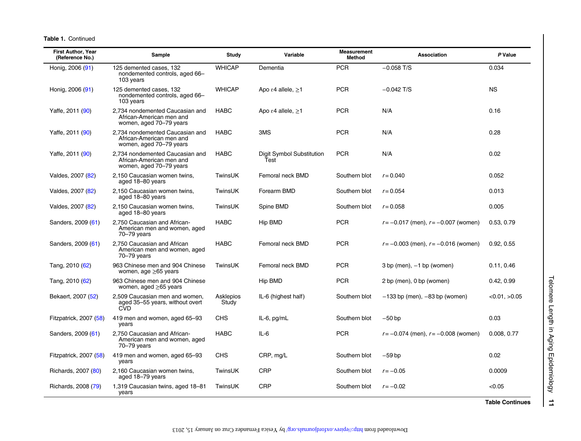|  |  | <b>Table 1. Continued</b> |
|--|--|---------------------------|
|--|--|---------------------------|

| First Author, Year<br>(Reference No.) | Sample                                                                                 | <b>Study</b>       | Variable                             | <b>Measurement</b><br>Method | Association                              | P Value        |
|---------------------------------------|----------------------------------------------------------------------------------------|--------------------|--------------------------------------|------------------------------|------------------------------------------|----------------|
| Honig, 2006 (91)                      | 125 demented cases, 132<br>nondemented controls, aged 66-<br>103 years                 | <b>WHICAP</b>      | Dementia                             | <b>PCR</b>                   | $-0.058$ T/S                             | 0.034          |
| Honig, 2006 (91)                      | 125 demented cases, 132<br>nondemented controls, aged 66-<br>103 years                 | <b>WHICAP</b>      | Apo $\varepsilon$ 4 allele, $\geq$ 1 | <b>PCR</b>                   | $-0.042$ T/S                             | <b>NS</b>      |
| Yaffe, 2011 (90)                      | 2,734 nondemented Caucasian and<br>African-American men and<br>women, aged 70-79 years | <b>HABC</b>        | Apo ε4 allele, $\geq$ 1              | <b>PCR</b>                   | N/A                                      | 0.16           |
| Yaffe, 2011 (90)                      | 2,734 nondemented Caucasian and<br>African-American men and<br>women, aged 70-79 years | <b>HABC</b>        | 3MS                                  | <b>PCR</b>                   | N/A                                      | 0.28           |
| Yaffe, 2011 (90)                      | 2,734 nondemented Caucasian and<br>African-American men and<br>women, aged 70-79 years | <b>HABC</b>        | Digit Symbol Substitution<br>Test    | <b>PCR</b>                   | N/A                                      | 0.02           |
| Valdes, 2007 (82)                     | 2,150 Caucasian women twins,<br>aged 18-80 years                                       | TwinsUK            | Femoral neck BMD                     | Southern blot                | $r = 0.040$                              | 0.052          |
| Valdes, 2007 (82)                     | 2,150 Caucasian women twins,<br>aged 18-80 years                                       | TwinsUK            | Forearm BMD                          | Southern blot                | $r = 0.054$                              | 0.013          |
| Valdes, 2007 (82)                     | 2,150 Caucasian women twins,<br>aged 18-80 years                                       | TwinsUK            | Spine BMD                            | Southern blot                | $r = 0.058$                              | 0.005          |
| Sanders, 2009 (61)                    | 2.750 Caucasian and African-<br>American men and women, aged<br>70–79 years            | <b>HABC</b>        | Hip BMD                              | <b>PCR</b>                   | $r = -0.017$ (men), $r = -0.007$ (women) | 0.53, 0.79     |
| Sanders, 2009 (61)                    | 2,750 Caucasian and African<br>American men and women, aged<br>$70 - 79$ years         | <b>HABC</b>        | Femoral neck BMD                     | <b>PCR</b>                   | $r = -0.003$ (men), $r = -0.016$ (women) | 0.92, 0.55     |
| Tang, 2010 (62)                       | 963 Chinese men and 904 Chinese<br>women, age $\geq 65$ years                          | TwinsUK            | Femoral neck BMD                     | <b>PCR</b>                   | 3 bp (men), -1 bp (women)                | 0.11, 0.46     |
| Tang, 2010 (62)                       | 963 Chinese men and 904 Chinese<br>women, aged $\geq$ 65 years                         |                    | Hip BMD                              | <b>PCR</b>                   | 2 bp (men), 0 bp (women)                 | 0.42, 0.99     |
| Bekaert, 2007 (52)                    | 2,509 Caucasian men and women,<br>aged 35-55 years, without overt<br>CVD               | Asklepios<br>Study | IL-6 (highest half)                  | Southern blot                | $-133$ bp (men), $-83$ bp (women)        | < 0.01, > 0.05 |
| Fitzpatrick, 2007 (58)                | 419 men and women, aged 65-93<br>vears                                                 | <b>CHS</b>         | IL-6, pg/mL                          | Southern blot                | $-50$ bp                                 | 0.03           |
| Sanders, 2009 (61)                    | 2,750 Caucasian and African-<br>American men and women, aged<br>70–79 years            | <b>HABC</b>        | $IL-6$                               | <b>PCR</b>                   | $r = -0.074$ (men), $r = -0.008$ (women) | 0.008, 0.77    |
| Fitzpatrick, 2007 (58)                | 419 men and women, aged 65-93<br>vears                                                 | <b>CHS</b>         | CRP, mg/L                            | Southern blot                | $-59bp$                                  | 0.02           |
| Richards, 2007 (80)                   | 2,160 Caucasian women twins,<br>aged 18-79 years                                       | TwinsUK            | <b>CRP</b>                           | Southern blot                | $r = -0.05$                              | 0.0009         |
| Richards, 2008 (79)                   | 1,319 Caucasian twins, aged 18–81<br>years                                             | TwinsUK            | <b>CRP</b>                           | Southern blot                | $r = -0.02$                              | < 0.05         |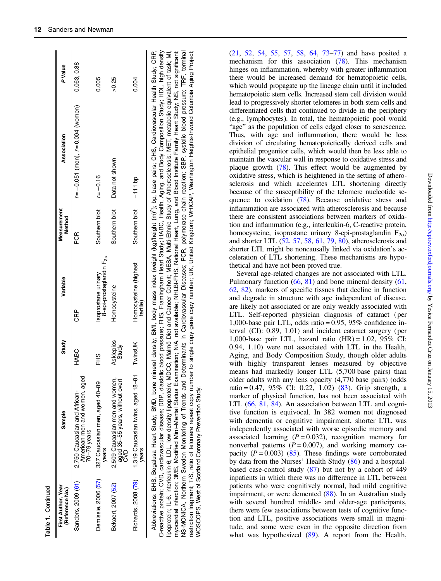| First Author, Year<br>(Reference No.) | Sample                                                                          | Study              | Variable                                                 | Measurement<br>Method   | Association                                                                                                                                                                              | P Value     |
|---------------------------------------|---------------------------------------------------------------------------------|--------------------|----------------------------------------------------------|-------------------------|------------------------------------------------------------------------------------------------------------------------------------------------------------------------------------------|-------------|
| Sanders, 2009 (61)                    | American men and women, aged<br>2.750 Caucasian and African-<br>$70 - 79$ years | HABC               | <b>CRP</b>                                               | 90<br>P                 | $r = -0.051$ (men), $r = 0.004$ (women)                                                                                                                                                  | 0.063, 0.88 |
| Demissie, 2006 (57)                   | 327 Caucasian men, aged 40-89<br>years                                          | FHS<br>H           | 8-epi-prostaglandin F $_{2\alpha}$<br>soprostane urinary | Southern blot $r=-0.16$ |                                                                                                                                                                                          | 0.005       |
| Bekaert, 2007 (52)                    | 2,509 Caucasian men and women,<br>aged 35-55 years, without overt<br>Š          | Asklepios<br>Study | Homocysteine                                             | Southem blot            | Data not shown                                                                                                                                                                           | 50.25       |
| Richards, 2008 (79)                   | 1,319 Caucasian twins, aged 18-81<br>vears                                      | TwinsUK            | Homocysteine (highest<br>tertile)                        | Southern blot -111 bp   |                                                                                                                                                                                          | 0.004       |
|                                       |                                                                                 |                    |                                                          |                         | Abbreviations: BHS. Bogalusa Heart Study: BMD, bone mineral density: BMI, body mass index (weight (kn)/height (m) <sup>2</sup> ); bp. base pairs: CHS. Cardiovascular Health Study: CRP. |             |

**Table 1. Continued** 

Continued

myocardial infarction; 3MS, Modified Mini-Mental Status Examination; N/A, not available; NHLBI-FHS, National Heart, Lung, and Blood Institute Family Heart Study; NS, not significant; NS-MCNICA, Northern Sweden Monitoring of Trends and Determinants in Cardiovascular Diseases; PCR, polymerase chain reaction; SBP, systolic blood pressure; TRF, terminal telomere repeat oopy number to single copy gene copy number; UK, United Kingdom; WHICAP, Washington Heights-Inwood Columbia Aging Project; Abbreviations: BHS, Bogalusa Heart Study; BMD, bone mineral density; BMI, body mass index (weight (kg)/height (m)2); bp, base pairs; CHS, Cardiovascular Health Study; CRP, C-reactive protein; CVD, cardiovascular disease; DBP, diastolic blood pressure; FHS, Framingham Heart Study; HABC, Health, Aging, and Body Composition Study; HDL, high density lipoprotein; IL-6, interleukin-6; LDL, low density lipoprotein; MDCC, Malmö Diet and Cancer Cohort; MESA, Multi-Ethnic Study of Atherosclerosis; MET, metabolic equivalent of task; MI, myocardial infarction; 3MS, Modified Mini–Mental Status Examination; N/A, not available; NHLBI-FHS, National Heart, Lung, and Blood Institute Family Heart Study; NS, not significant; NS-MONICA, Northern Sweden Monitoring of Trends and Determinants in Cardiovascular Diseases; PCR, polymerase chain reaction; SBP, systolic blood pressure; TRF, terminal restriction fragment; T/S, ratio of telomere repeat copy number to single copy gene copy number; UK, United Kingdom; WHICAP, Washington Heights-Inwood Columbia Aging Project; ipoprotein; IL-6, interleukin-6; LDL, low density lipoprotein; MDCC, Malmö Diet and Cancer Cohort; MESA, Multi-Ethnic Study of Atherosclerosis; MET, metabolic equivalent of task; MI WOSCOPS, West of Scotland Coronary Prevention Study. **NOSCOPS, West of Scotland Coronary Prevention Study** restriction fragment; T/S, ratio of

[\(21](#page-17-0), [52,](#page-18-0) [54,](#page-18-0) [55](#page-18-0), [57,](#page-18-0) [58](#page-18-0), [64,](#page-18-0) [73](#page-18-0)–[77](#page-18-0)) and have posited a mechanism for this association [\(78](#page-18-0)). This mechanism hinges on inflammation, whereby with greater inflammation there would be increased demand for hematopoietic cells, which would propagate up the lineage chain until it included hematopoietic stem cells. Increased stem cell division would lead to progressively shorter telomeres in both stem cells and differentiated cells that continued to divide in the periphery (e.g., lymphocytes). In total, the hematopoietic pool would "age" as the population of cells edged closer to senescence. Thus, with age and inflammation, there would be less division of circulating hematopoietically derived cells and epithelial progenitor cells, which would then be less able to maintain the vascular wall in response to oxidative stress and plaque growth ([78](#page-18-0)). This effect would be augmented by oxidative stress, which is heightened in the setting of atherosclerosis and which accelerates LTL shortening directly because of the susceptibility of the telomere nucleotide sequence to oxidation [\(78](#page-18-0)). Because oxidative stress and inflammation are associated with atherosclerosis and because there are consistent associations between markers of oxidation and inflammation (e.g., interleukin-6, C-reactive protein, homocysteine, isoprostane urinary 8-epi-prostaglandin  $F_{2\alpha}$ ) and shorter LTL [\(52](#page-18-0), [57](#page-18-0), [58,](#page-18-0) [61,](#page-18-0) [79](#page-18-0), [80](#page-18-0)), atherosclerosis and shorter LTL might be noncausally linked via oxidation's acceleration of LTL shortening. These mechanisms are hypothetical and have not been proved true.

Several age-related changes are not associated with LTL. Pulmonary function  $(66, 81)$  $(66, 81)$  $(66, 81)$  and bone mineral density  $(61, 61)$  $(61, 61)$ [62,](#page-18-0) [82\)](#page-18-0), markers of specific tissues that decline in function and degrade in structure with age independent of disease, are likely not associated or are only weakly associated with LTL. Self-reported physician diagnosis of cataract ( per 1,000-base pair LTL, odds ratio = 0.95, 95% confidence interval (CI): 0.89, 1.01) and incident cataract surgery ( per 1,000-base pair LTL, hazard ratio (HR) = 1.02, 95% CI: 0.94, 1.10) were not associated with LTL in the Health, Aging, and Body Composition Study, though older adults with highly transparent lenses measured by objective means had markedly longer LTL (5,700 base pairs) than older adults with any lens opacity (4,770 base pairs) (odds ratio = 0.47, 95% CI: 0.22, 1.02) ([83\)](#page-18-0). Grip strength, a marker of physical function, has not been associated with LTL [\(66](#page-18-0), [81](#page-18-0), [84](#page-19-0)). An association between LTL and cognitive function is equivocal. In 382 women not diagnosed with dementia or cognitive impairment, shorter LTL was independently associated with worse episodic memory and associated learning  $(P = 0.032)$ , recognition memory for nonverbal patterns ( $P = 0.007$ ), and working memory capacity ( $P = 0.003$ ) ([85\)](#page-19-0). These findings were corroborated by data from the Nurses' Health Study ([86\)](#page-19-0) and a hospitalbased case-control study ([87\)](#page-19-0) but not by a cohort of 449 inpatients in which there was no difference in LTL between patients who were cognitively normal, had mild cognitive impairment, or were demented [\(88](#page-19-0)). In an Australian study with several hundred middle- and older-age participants, there were few associations between tests of cognitive function and LTL, positive associations were small in magnitude, and some were even in the opposite direction from what was hypothesized ([89\)](#page-19-0). A report from the Health,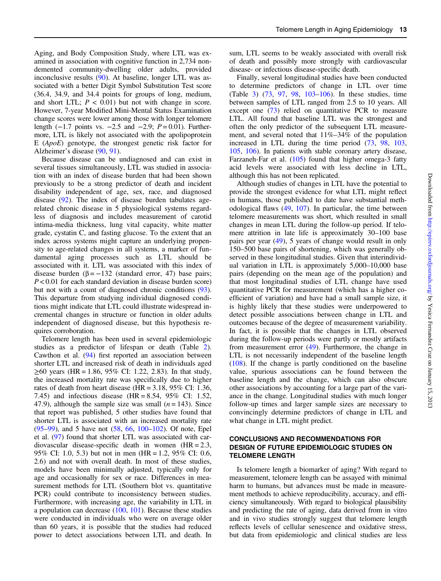Aging, and Body Composition Study, where LTL was examined in association with cognitive function in 2,734 nondemented community-dwelling older adults, provided inconclusive results [\(90](#page-19-0)). At baseline, longer LTL was associated with a better Digit Symbol Substitution Test score (36.4, 34.9, and 34.4 points for groups of long, medium, and short LTL;  $P < 0.01$ ) but not with change in score. However, 7-year Modified Mini-Mental Status Examination change scores were lower among those with longer telomere length ( $-1.7$  points vs.  $-2.5$  and  $-2.9$ ;  $P = 0.01$ ). Furthermore, LTL is likely not associated with the apolipoprotein E (ApoE) genotype, the strongest genetic risk factor for Alzheimer's disease [\(90](#page-19-0), [91](#page-19-0)).

Because disease can be undiagnosed and can exist in several tissues simultaneously, LTL was studied in association with an index of disease burden that had been shown previously to be a strong predictor of death and incident disability independent of age, sex, race, and diagnosed disease ([92\)](#page-19-0). The index of disease burden tabulates agerelated chronic disease in 5 physiological systems regardless of diagnosis and includes measurement of carotid intima-media thickness, lung vital capacity, white matter grade, cystatin C, and fasting glucose. To the extent that an index across systems might capture an underlying propensity to age-related changes in all systems, a marker of fundamental aging processes such as LTL should be associated with it. LTL was associated with this index of disease burden ( $\beta = -132$  (standard error, 47) base pairs;  $P < 0.01$  for each standard deviation in disease burden score) but not with a count of diagnosed chronic conditions ([93](#page-19-0)). This departure from studying individual diagnosed conditions might indicate that LTL could illustrate widespread incremental changes in structure or function in older adults independent of diagnosed disease, but this hypothesis requires corroboration.

Telomere length has been used in several epidemiologic studies as a predictor of lifespan or death (Table [2](#page-13-0)). Cawthon et al. [\(94](#page-19-0)) first reported an association between shorter LTL and increased risk of death in individuals aged  $≥60$  years (HR = 1.86, 95% CI: 1.22, 2.83). In that study, the increased mortality rate was specifically due to higher rates of death from heart disease  $(HR = 3.18, 95\% \text{ CI: } 1.36,$ 7.45) and infectious disease (HR = 8.54, 95% CI: 1.52, 47.9), although the sample size was small  $(n = 143)$ . Since that report was published, 5 other studies have found that shorter LTL is associated with an increased mortality rate [\(95](#page-19-0)–[99](#page-19-0)), and 5 have not ([58,](#page-18-0) [66,](#page-18-0) [100](#page-19-0)–[102](#page-19-0)). Of note, Epel et al. ([97\)](#page-19-0) found that shorter LTL was associated with cardiovascular disease-specific death in women  $(HR = 2.3,$ 95% CI: 1.0, 5.3) but not in men (HR = 1.2, 95% CI: 0.6, 2.6) and not with overall death. In most of these studies, models have been minimally adjusted, typically only for age and occasionally for sex or race. Differences in measurement methods for LTL (Southern blot vs. quantitative PCR) could contribute to inconsistency between studies. Furthermore, with increasing age, the variability in LTL in a population can decrease  $(100, 101)$  $(100, 101)$  $(100, 101)$  $(100, 101)$  $(100, 101)$ . Because these studies were conducted in individuals who were on average older than 60 years, it is possible that the studies had reduced power to detect associations between LTL and death. In

sum, LTL seems to be weakly associated with overall risk of death and possibly more strongly with cardiovascular disease- or infectious disease-specific death.

Finally, several longitudinal studies have been conducted to determine predictors of change in LTL over time (Table [3\)](#page-15-0) ([73,](#page-18-0) [97](#page-19-0), [98](#page-19-0), [103](#page-19-0)–[106](#page-19-0)). In these studies, time between samples of LTL ranged from 2.5 to 10 years. All except one  $(73)$  $(73)$  relied on quantitative PCR to measure LTL. All found that baseline LTL was the strongest and often the only predictor of the subsequent LTL measurement, and several noted that 11%–34% of the population increased in LTL during the time period [\(73](#page-18-0), [98](#page-19-0), [103](#page-19-0), [105](#page-19-0), [106\)](#page-19-0). In patients with stable coronary artery disease, Farzaneh-Far et al. [\(105](#page-19-0)) found that higher omega-3 fatty acid levels were associated with less decline in LTL, although this has not been replicated.

Although studies of changes in LTL have the potential to provide the strongest evidence for what LTL might reflect in humans, those published to date have substantial methodological flaws [\(49](#page-18-0), [107](#page-19-0)). In particular, the time between telomere measurements was short, which resulted in small changes in mean LTL during the follow-up period. If telomere attrition in late life is approximately 30–100 base pairs per year [\(49](#page-18-0)), 5 years of change would result in only 150–500 base pairs of shortening, which was generally observed in these longitudinal studies. Given that interindividual variation in LTL is approximately 5,000–10,000 base pairs (depending on the mean age of the population) and that most longitudinal studies of LTL change have used quantitative PCR for measurement (which has a higher coefficient of variation) and have had a small sample size, it is highly likely that these studies were underpowered to detect possible associations between change in LTL and outcomes because of the degree of measurement variability. In fact, it is possible that the changes in LTL observed during the follow-up periods were partly or mostly artifacts from measurement error ([49\)](#page-18-0). Furthermore, the change in LTL is not necessarily independent of the baseline length [\(108](#page-19-0)). If the change is partly conditioned on the baseline value, spurious associations can be found between the baseline length and the change, which can also obscure other associations by accounting for a large part of the variance in the change. Longitudinal studies with much longer follow-up times and larger sample sizes are necessary to convincingly determine predictors of change in LTL and what change in LTL might predict.

# CONCLUSIONS AND RECOMMENDATIONS FOR DESIGN OF FUTURE EPIDEMIOLOGIC STUDIES ON TELOMERE LENGTH

Is telomere length a biomarker of aging? With regard to measurement, telomere length can be assayed with minimal harm to humans, but advances must be made in measurement methods to achieve reproducibility, accuracy, and efficiency simultaneously. With regard to biological plausibility and predicting the rate of aging, data derived from in vitro and in vivo studies strongly suggest that telomere length reflects levels of cellular senescence and oxidative stress, but data from epidemiologic and clinical studies are less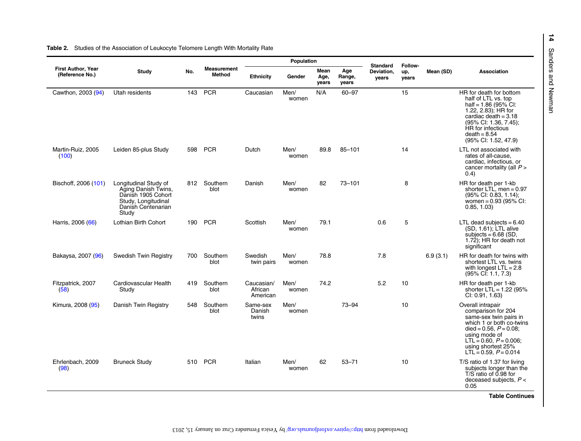First Author, Year First Author, Year **No. Accord Study** No. Measurement<br>(Reference No.) **Study** No. Method Population<br>
Mean Age Deviation Deviation, years Followup, years Mean (SD) Association Ethnicity Gender Age, years Age Range, years Cawthon, 2003 ([94\)](#page-19-0) Utah residents 143 PCR Caucasian Men/ womenN/A 60–97 15 HR for death for bottomhalf of LTL vs. top half =  $1.86$  (95% CI: 1.22, 2.83); HR for cardiac death  $= 3.18$  (95% CI: 1.36, 7.45); HR for infectious  $death = 8.54$  (95% CI: 1.52, 47.9) Martin-Ruiz, 2005 [\(100\)](#page-19-0) Leiden 85-plus Study 598 PCR Dutch Men/ women89.8 85–101 14 LTL not associated withrates of all-cause, cardiac, infectious, or cancer mortality (all  $P >$ 0.4) Bischoff, 2006 ([101](#page-19-0)) Longitudinal Study of Aging Danish Twins, Danish 1905 Cohort Study, Longitudinal Danish Centenarian**Study** 812 Southernblot Danish Men/women82 73–101 8 HR for death per 1-kb shorter LTL, men  $= 0.97$ (95% CI: 0.83, 1.14); women <sup>=</sup> 0.93 (95% CI: 0.85, 1.03) Harris, 2006 ([66\)](#page-18-0) Lothian Birth Cohort 190 PCR Scottish Men/ women79.1 0.6 5 LTL dead subjects <sup>=</sup> 6.40 (SD, 1.61); LTL alive  $subjects = 6.68$  (SD, 1.72); HR for death not significant Bakaysa, 2007 ([96\)](#page-19-0) Swedish Twin Registry 700 Southern blotSwedish twin pairs Men/women78.8 7.8 6.9 (3.1) HR for death for twins with shortest LTL vs. twinswith longest  $LTL = 2.8$ (95% CI: 1.1, 7.3) Fitzpatrick, 2007 [\(58](#page-18-0)) Cardiovascular Health**Study** 419 Southernblot Caucasian/African AmericanMen/women74.2 5.2 10 HR for death per 1-kb shorter  $LTL = 1.22$  (95%) CI: 0.91, 1.63) Kimura, 2008 ([95](#page-19-0)) Danish Twin Registry 548 Southern blotSame-sex DanishtwinsMen/ women73–94 10 Overall intrapair comparison for 204 same-sex twin pairs in which 1 or both co-twins  $died = 0.56, P = 0.08;$ using mode of  $LTL = 0.60, P = 0.006;$ using shortest 25%  $LTL = 0.59, P = 0.014$ Ehrlenbach, 2009 [\(98](#page-19-0)) Bruneck Study 510 PCR Italian Men/ women62 53–71 10 T/S ratio of 1.37 for living subjects longer than the T/S ratio of 0.98 for deceased subjects, P <sup>&</sup>lt; 0.05

#### <span id="page-13-0"></span>Table 2. Studies of the Association of Leukocyte Telomere Length With Mortality Rate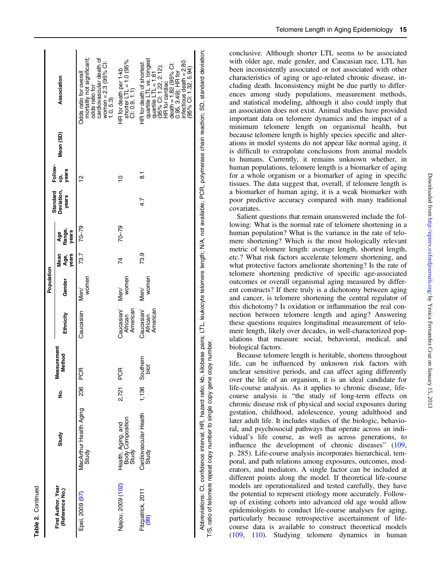Table 2. Continued Continued

|                                       |                                                 |       |                       |                                   | Population    |                              |                        |                                        |                         |           |                                                                                                                                                                                                                          |
|---------------------------------------|-------------------------------------------------|-------|-----------------------|-----------------------------------|---------------|------------------------------|------------------------|----------------------------------------|-------------------------|-----------|--------------------------------------------------------------------------------------------------------------------------------------------------------------------------------------------------------------------------|
| First Author, Year<br>(Reference No.) | Study                                           | ġ     | leasurement<br>Method | Ethnicity                         | Gender        | years<br><b>Mean</b><br>Age, | Age<br>Range,<br>years | <b>Standard</b><br>Deviation,<br>years | Follow-<br>up,<br>years | Mean (SD) | Association                                                                                                                                                                                                              |
| Epel, 2009 (97)                       | MacArthur Health Aging<br>Study                 | 236   | PCR <sub>1</sub>      | Caucasian                         | women<br>Men/ | 73.7                         | $52 - 22$              |                                        | $\frac{1}{2}$           |           | mortality not significant;<br>odds ratio for<br>cardiovascular death of<br>women = $2.3$ (95% CI:<br>1.0, 5.3)<br>Odds ratio for overall                                                                                 |
| Njajou, 2009 (102)                    | Health, Aging, and<br>Body Composition<br>Study | 2,721 | PCR                   | Caucasian/<br>African<br>American | women<br>Men/ | 74                           | $52 - 02$              |                                        | ₽                       |           | shorter LTL = 1.0 (95%<br>Cl: 0.9, 1.1)<br>HR for death per 1-kb                                                                                                                                                         |
| Fitzpatrick, 2011<br>(99)             | Cardiovascular Health<br>Study                  | 1,136 | Southern<br>blot      | Caucasian/<br>American<br>African | women<br>Men/ | 73.9                         |                        | 4.7                                    | _<br>∞                  |           | quartile LTL vs. longest<br>quartile LTL = 1.61<br>(95% Cl: 1.22, 2.12);<br>HR for cardiac<br>death = 1.82 (95% CI:<br>0.95, 3.49); HR for<br>infectious death = 2.80<br>HR for death of shortest<br>95% CI: 1.32, 5.94) |

Abbreviations: CI, confidence interval; HR, hazard ratio; kb, kilobase pairs; LTL, leukocyte telomere length; N/A, not available; PCR, polymerase chain reaction; SD, standard deviation;

Abbreviations: Cl, confidence interval; HR, hazard ratio; kb, kilobase pairs; LTL, leukocyte telomere length; N/A, not available; PCR, polymerase chain reaction; SD, standard deviation;

T/S, ratio of telomere repeat copy number to single copy gene copy number.

Γ/S,

ratio of telomere repeat copy number to single copy gene copy number

conclusive. Although shorter LTL seems to be associated with older age, male gender, and Caucasian race, LTL has been inconsistently associated or not associated with other characteristics of aging or age-related chronic disease, including death. Inconsistency might be due partly to differences among study populations, measurement methods, and statistical modeling, although it also could imply that an association does not exist. Animal studies have provided important data on telomere dynamics and the impact of a minimum telomere length on organismal health, but because telomere length is highly species specific and alterations in model systems do not appear like normal aging, it is difficult to extrapolate conclusions from animal models to humans. Currently, it remains unknown whether, in human populations, telomere length is a biomarker of aging for a whole organism or a biomarker of aging in specific tissues. The data suggest that, overall, if telomere length is a biomarker of human aging, it is a weak biomarker with poor predictive accuracy compared with many traditional covariates.

Salient questions that remain unanswered include the following: What is the normal rate of telomere shortening in a human population? What is the variance in the rate of telomere shortening? Which is the most biologically relevant metric of telomere length: average length, shortest length, etc.? What risk factors accelerate telomere shortening, and what protective factors ameliorate shortening? Is the rate of telomere shortening predictive of speci fic age-associated outcomes or overall organismal aging measured by different constructs? If there truly is a dichotomy between aging and cancer, is telomere shortening the central regulator of this dichotomy? Is oxidation or in flammation the real connection between telomere length and aging? Answering these questions requires longitudinal measurement of telomere length, likely over decades, in well-characterized populations that measure social, behavioral, medical, and biological factors.

Because telomere length is heritable, shortens throughout life, can be in fluenced by unknown risk factors with unclear sensitive periods, and can affect aging differently over the life of an organism, it is an ideal candidate for life-course analysis. As it applies to chronic disease, lifecourse analysis is "the study of long-term effects on chronic disease risk of physical and social exposures during gestation, childhood, adolescence, young adulthood and later adult life. It includes studies of the biologic, behavioral, and psychosocial pathways that operate across an individual's life course, as well as across generations, to influence the development of chronic diseases" [\(109](#page-19-0), p. 285). Life-course analysis incorporates hierarchical, temporal, and path relations among exposures, outcomes, moderators, and mediators. A single factor can be included at different points along the model. If theoretical life-course models are operationalized and tested carefully, they have the potential to represent etiology more accurately. Followup of existing cohorts into advanced old age would allow epidemiologists to conduct life-course analyses for aging, particularly because retrospective ascertainment of lifecourse data is available to construct theoretical models [\(109](#page-19-0) , [110\)](#page-19-0). Studying telomere dynamics in human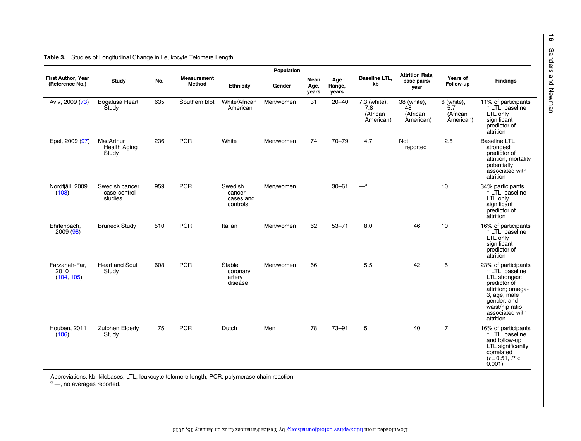|                                              |                                           |     |                                     |                                            | Population |                       |                        |                                              | <b>Attrition Rate.</b>                     |                                            |                                                                                                                                                                                |
|----------------------------------------------|-------------------------------------------|-----|-------------------------------------|--------------------------------------------|------------|-----------------------|------------------------|----------------------------------------------|--------------------------------------------|--------------------------------------------|--------------------------------------------------------------------------------------------------------------------------------------------------------------------------------|
| <b>First Author, Year</b><br>(Reference No.) | Study                                     | No. | <b>Measurement</b><br><b>Method</b> | <b>Ethnicity</b>                           | Gender     | Mean<br>Age,<br>vears | Age<br>Range,<br>years | <b>Baseline LTL.</b><br>kb                   | base pairs/<br>year                        | Years of<br>Follow-up                      | <b>Findings</b>                                                                                                                                                                |
| Aviv, 2009 (73)                              | Bogalusa Heart<br>Study                   | 635 | Southern blot                       | White/African<br>American                  | Men/women  | 31                    | $20 - 40$              | 7.3 (white),<br>7.8<br>(African<br>American) | 38 (white).<br>48<br>(African<br>American) | 6 (white).<br>5.7<br>(African<br>American) | 11% of participants<br>↑ LTL; baseline<br>LTL only<br>significant<br>predictor of<br>attrition                                                                                 |
| Epel, 2009 (97)                              | MacArthur<br><b>Health Aging</b><br>Study | 236 | <b>PCR</b>                          | White                                      | Men/women  | 74                    | $70 - 79$              | 4.7                                          | Not<br>reported                            | 2.5                                        | <b>Baseline LTL</b><br>strongest<br>predictor of<br>attrition; mortality<br>potentially<br>associated with<br>attrition                                                        |
| Nordfjäll, 2009<br>(103)                     | Swedish cancer<br>case-control<br>studies | 959 | <b>PCR</b>                          | Swedish<br>cancer<br>cases and<br>controls | Men/women  |                       | $30 - 61$              | $-{}^a$                                      |                                            | 10                                         | 34% participants<br>↑ LTL; baseline<br>LTL only<br>significant<br>predictor of<br>attrition                                                                                    |
| Ehrlenbach.<br>2009(98)                      | <b>Bruneck Study</b>                      | 510 | <b>PCR</b>                          | Italian                                    | Men/women  | 62                    | $53 - 71$              | 8.0                                          | 46                                         | 10                                         | 16% of participants<br>↑ LTL; baseline<br>LTL only<br>significant<br>predictor of<br>attrition                                                                                 |
| Farzaneh-Far,<br>2010<br>(104, 105)          | Heart and Soul<br>Study                   | 608 | <b>PCR</b>                          | Stable<br>coronary<br>artery<br>disease    | Men/women  | 66                    |                        | 5.5                                          | 42                                         | 5                                          | 23% of participants<br>↑ LTL; baseline<br>LTL strongest<br>predictor of<br>attrition; omega-<br>3, age, male<br>gender, and<br>waist/hip ratio<br>associated with<br>attrition |
| Houben, 2011<br>(106)                        | <b>Zutphen Elderly</b><br>Study           | 75  | <b>PCR</b>                          | Dutch                                      | Men        | 78                    | $73 - 91$              | 5                                            | 40                                         | $\overline{7}$                             | 16% of participants<br>↑ LTL: baseline<br>and follow-up<br>LTL significantly<br>correlated<br>$(r=0.51, P<$<br>0.001)                                                          |

#### <span id="page-15-0"></span>Table 3. Studies of Longitudinal Change in Leukocyte Telomere Length

Abbreviations: kb, kilobases; LTL, leukocyte telomere length; PCR, polymerase chain reaction.<br>ª —, no averages reported.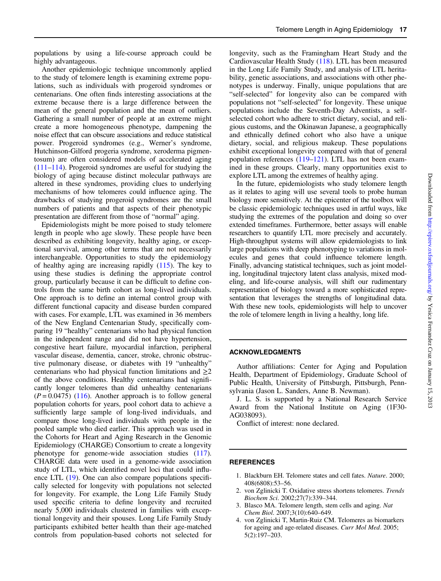<span id="page-16-0"></span>populations by using a life-course approach could be highly advantageous.

Another epidemiologic technique uncommonly applied to the study of telomere length is examining extreme populations, such as individuals with progeroid syndromes or centenarians. One often finds interesting associations at the extreme because there is a large difference between the mean of the general population and the mean of outliers. Gathering a small number of people at an extreme might create a more homogeneous phenotype, dampening the noise effect that can obscure associations and reduce statistical power. Progeroid syndromes (e.g., Werner's syndrome, Hutchinson-Gilford progeria syndrome, xeroderma pigmentosum) are often considered models of accelerated aging [\(111](#page-19-0)–[114](#page-19-0)). Progeroid syndromes are useful for studying the biology of aging because distinct molecular pathways are altered in these syndromes, providing clues to underlying mechanisms of how telomeres could influence aging. The drawbacks of studying progeroid syndromes are the small numbers of patients and that aspects of their phenotypic presentation are different from those of "normal" aging.

Epidemiologists might be more poised to study telomere length in people who age slowly. These people have been described as exhibiting longevity, healthy aging, or exceptional survival, among other terms that are not necessarily interchangeable. Opportunities to study the epidemiology of healthy aging are increasing rapidly  $(115)$  $(115)$ . The key to using these studies is defining the appropriate control group, particularly because it can be difficult to define controls from the same birth cohort as long-lived individuals. One approach is to define an internal control group with different functional capacity and disease burden compared with cases. For example, LTL was examined in 36 members of the New England Centenarian Study, specifically comparing 19 "healthy" centenarians who had physical function in the independent range and did not have hypertension, congestive heart failure, myocardial infarction, peripheral vascular disease, dementia, cancer, stroke, chronic obstructive pulmonary disease, or diabetes with 19 "unhealthy" centenarians who had physical function limitations and  $\geq 2$ of the above conditions. Healthy centenarians had significantly longer telomeres than did unhealthy centenarians  $(P = 0.0475)$  ([116\)](#page-19-0). Another approach is to follow general population cohorts for years, pool cohort data to achieve a sufficiently large sample of long-lived individuals, and compare those long-lived individuals with people in the pooled sample who died earlier. This approach was used in the Cohorts for Heart and Aging Research in the Genomic Epidemiology (CHARGE) Consortium to create a longevity phenotype for genome-wide association studies [\(117](#page-19-0)). CHARGE data were used in a genome-wide association study of LTL, which identified novel loci that could influence LTL [\(19](#page-17-0)). One can also compare populations specifically selected for longevity with populations not selected for longevity. For example, the Long Life Family Study used specific criteria to define longevity and recruited nearly 5,000 individuals clustered in families with exceptional longevity and their spouses. Long Life Family Study participants exhibited better health than their age-matched controls from population-based cohorts not selected for

longevity, such as the Framingham Heart Study and the Cardiovascular Health Study [\(118](#page-19-0)). LTL has been measured in the Long Life Family Study, and analysis of LTL heritability, genetic associations, and associations with other phenotypes is underway. Finally, unique populations that are "self-selected" for longevity also can be compared with populations not "self-selected" for longevity. These unique populations include the Seventh-Day Adventists, a selfselected cohort who adhere to strict dietary, social, and religious customs, and the Okinawan Japanese, a geographically and ethnically defined cohort who also have a unique dietary, social, and religious makeup. These populations exhibit exceptional longevity compared with that of general population references ([119](#page-19-0)–[121\)](#page-19-0). LTL has not been examined in these groups. Clearly, many opportunities exist to explore LTL among the extremes of healthy aging.

In the future, epidemiologists who study telomere length as it relates to aging will use several tools to probe human biology more sensitively. At the epicenter of the toolbox will be classic epidemiologic techniques used in artful ways, like studying the extremes of the population and doing so over extended timeframes. Furthermore, better assays will enable researchers to quantify LTL more precisely and accurately. High-throughput systems will allow epidemiologists to link large populations with deep phenotyping to variations in molecules and genes that could influence telomere length. Finally, advancing statistical techniques, such as joint modeling, longitudinal trajectory latent class analysis, mixed modeling, and life-course analysis, will shift our rudimentary representation of biology toward a more sophisticated representation that leverages the strengths of longitudinal data. With these new tools, epidemiologists will help to uncover the role of telomere length in living a healthy, long life.

## ACKNOWLEDGMENTS

Author affiliations: Center for Aging and Population Health, Department of Epidemiology, Graduate School of Public Health, University of Pittsburgh, Pittsburgh, Pennsylvania (Jason L. Sanders, Anne B. Newman).

J. L. S. is supported by a National Research Service Award from the National Institute on Aging (1F30- AG038093).

Conflict of interest: none declared.

#### REFERENCES

- 1. Blackburn EH. Telomere states and cell fates. Nature. 2000; 408(6808):53–56.
- 2. von Zglinicki T. Oxidative stress shortens telomeres. Trends Biochem Sci. 2002;27(7):339–344.
- 3. Blasco MA. Telomere length, stem cells and aging. Nat Chem Biol. 2007;3(10):640–649.
- 4. von Zglinicki T, Martin-Ruiz CM. Telomeres as biomarkers for ageing and age-related diseases. Curr Mol Med. 2005; 5(2):197–203.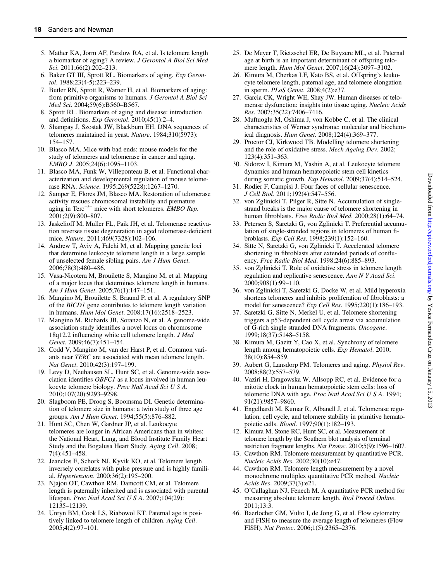- <span id="page-17-0"></span>5. Mather KA, Jorm AF, Parslow RA, et al. Is telomere length a biomarker of aging? A review. J Gerontol A Biol Sci Med Sci. 2011;66(2):202-213.
- 6. Baker GT III, Sprott RL. Biomarkers of aging. Exp Gerontol. 1988;23(4-5):223–239.
- 7. Butler RN, Sprott R, Warner H, et al. Biomarkers of aging: from primitive organisms to humans. J Gerontol A Biol Sci Med Sci. 2004;59(6):B560–B567.
- 8. Sprott RL. Biomarkers of aging and disease: introduction and definitions. Exp Gerontol. 2010;45(1):2–4.
- 9. Shampay J, Szostak JW, Blackburn EH. DNA sequences of telomeres maintained in yeast. Nature. 1984;310(5973): 154–157.
- 10. Blasco MA. Mice with bad ends: mouse models for the study of telomeres and telomerase in cancer and aging. EMBO J. 2005;24(6):1095–1103.
- 11. Blasco MA, Funk W, Villeponteau B, et al. Functional characterization and developmental regulation of mouse telomerase RNA. Science. 1995;269(5228):1267–1270.
- 12. Samper E, Flores JM, Blasco MA. Restoration of telomerase activity rescues chromosomal instability and premature aging in Terc<sup>−/−</sup> mice with short telomeres. EMBO Rep. 2001;2(9):800–807.
- 13. Jaskelioff M, Muller FL, Paik JH, et al. Telomerase reactivation reverses tissue degeneration in aged telomerase-deficient mice. Nature. 2011;469(7328):102–106.
- 14. Andrew T, Aviv A, Falchi M, et al. Mapping genetic loci that determine leukocyte telomere length in a large sample of unselected female sibling pairs. Am J Hum Genet. 2006;78(3):480–486.
- 15. Vasa-Nicotera M, Brouilette S, Mangino M, et al. Mapping of a major locus that determines telomere length in humans. Am J Hum Genet. 2005;76(1):147–151.
- 16. Mangino M, Brouilette S, Braund P, et al. A regulatory SNP of the BICD1 gene contributes to telomere length variation in humans. Hum Mol Genet. 2008;17(16):2518–2523.
- 17. Mangino M, Richards JB, Soranzo N, et al. A genome-wide association study identifies a novel locus on chromosome 18q12.2 influencing white cell telomere length. J Med Genet. 2009;46(7):451–454.
- 18. Codd V, Mangino M, van der Harst P, et al. Common variants near TERC are associated with mean telomere length. Nat Genet. 2010;42(3):197–199.
- 19. Levy D, Neuhausen SL, Hunt SC, et al. Genome-wide association identifies OBFC1 as a locus involved in human leukocyte telomere biology. Proc Natl Acad Sci U S A. 2010;107(20):9293–9298.
- 20. Slagboom PE, Droog S, Boomsma DI. Genetic determination of telomere size in humans: a twin study of three age groups. Am J Hum Genet. 1994;55(5):876–882.
- 21. Hunt SC, Chen W, Gardner JP, et al. Leukocyte telomeres are longer in African Americans than in whites: the National Heart, Lung, and Blood Institute Family Heart Study and the Bogalusa Heart Study. Aging Cell. 2008; 7(4):451–458.
- 22. Jeanclos E, Schork NJ, Kyvik KO, et al. Telomere length inversely correlates with pulse pressure and is highly familial. Hypertension. 2000;36(2):195–200.
- 23. Njajou OT, Cawthon RM, Damcott CM, et al. Telomere length is paternally inherited and is associated with parental lifespan. Proc Natl Acad Sci U S A. 2007;104(29): 12135–12139.
- 24. Unryn BM, Cook LS, Riabowol KT. Paternal age is positively linked to telomere length of children. Aging Cell. 2005;4(2):97–101.
- 25. De Meyer T, Rietzschel ER, De Buyzere ML, et al. Paternal age at birth is an important determinant of offspring telomere length. Hum Mol Genet. 2007;16(24):3097–3102.
- 26. Kimura M, Cherkas LF, Kato BS, et al. Offspring's leukocyte telomere length, paternal age, and telomere elongation in sperm. PLoS Genet. 2008;4(2):e37.
- 27. Garcia CK, Wright WE, Shay JW. Human diseases of telomerase dysfunction: insights into tissue aging. Nucleic Acids Res. 2007;35(22):7406–7416.
- 28. Muftuoglu M, Oshima J, von Kobbe C, et al. The clinical characteristics of Werner syndrome: molecular and biochemical diagnosis. Hum Genet. 2008;124(4):369–377.
- 29. Proctor CJ, Kirkwood TB. Modelling telomere shortening and the role of oxidative stress. Mech Ageing Dev. 2002; 123(4):351–363.
- 30. Sidorov I, Kimura M, Yashin A, et al. Leukocyte telomere dynamics and human hematopoietic stem cell kinetics during somatic growth. Exp Hematol. 2009;37(4):514–524.
- 31. Rodier F, Campisi J. Four faces of cellular senescence. J Cell Biol. 2011;192(4):547–556.
- 32. von Zglinicki T, Pilger R, Sitte N. Accumulation of singlestrand breaks is the major cause of telomere shortening in human fibroblasts. Free Radic Biol Med. 2000;28(1):64–74.
- 33. Petersen S, Saretzki G, von Zglinicki T. Preferential accumulation of single-stranded regions in telomeres of human fibroblasts. Exp Cell Res. 1998;239(1):152–160.
- 34. Sitte N, Saretzki G, von Zglinicki T. Accelerated telomere shortening in fibroblasts after extended periods of confluency. Free Radic Biol Med. 1998;24(6):885–893.
- 35. von Zglinicki T. Role of oxidative stress in telomere length regulation and replicative senescence. Ann N Y Acad Sci. 2000;908(1):99–110.
- 36. von Zglinicki T, Saretzki G, Docke W, et al. Mild hyperoxia shortens telomeres and inhibits proliferation of fibroblasts: a model for senescence? Exp Cell Res. 1995;220(1):186–193.
- 37. Saretzki G, Sitte N, Merkel U, et al. Telomere shortening triggers a p53-dependent cell cycle arrest via accumulation of G-rich single stranded DNA fragments. Oncogene. 1999;18(37):5148–5158.
- 38. Kimura M, Gazitt Y, Cao X, et al. Synchrony of telomere length among hematopoietic cells. Exp Hematol. 2010; 38(10):854–859.
- 39. Aubert G, Lansdorp PM. Telomeres and aging. Physiol Rev. 2008;88(2):557–579.
- 40. Vaziri H, Dragowska W, Allsopp RC, et al. Evidence for a mitotic clock in human hematopoietic stem cells: loss of telomeric DNA with age. Proc Natl Acad Sci U S A. 1994; 91(21):9857–9860.
- 41. Engelhardt M, Kumar R, Albanell J, et al. Telomerase regulation, cell cycle, and telomere stability in primitive hematopoietic cells. Blood. 1997;90(1):182–193.
- 42. Kimura M, Stone RC, Hunt SC, et al. Measurement of telomere length by the Southern blot analysis of terminal restriction fragment lengths. Nat Protoc. 2010;5(9):1596–1607.
- 43. Cawthon RM. Telomere measurement by quantitative PCR. Nucleic Acids Res. 2002;30(10):e47.
- 44. Cawthon RM. Telomere length measurement by a novel monochrome multiplex quantitative PCR method. Nucleic Acids Res. 2009;37(3):e21.
- 45. O'Callaghan NJ, Fenech M. A quantitative PCR method for measuring absolute telomere length. Biol Proced Online. 2011;13:3.
- 46. Baerlocher GM, Vulto I, de Jong G, et al. Flow cytometry and FISH to measure the average length of telomeres (Flow FISH). Nat Protoc. 2006;1(5):2365–2376.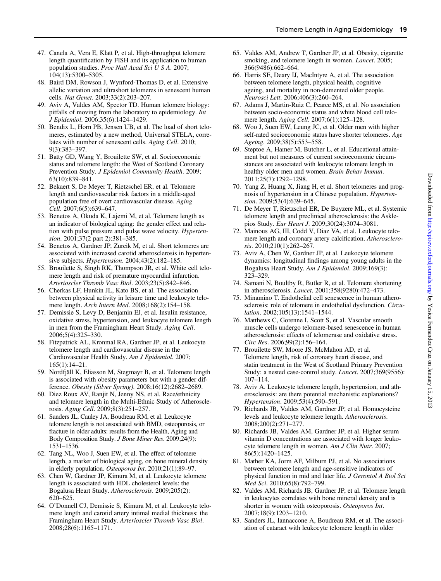- <span id="page-18-0"></span>47. Canela A, Vera E, Klatt P, et al. High-throughput telomere length quantification by FISH and its application to human population studies. Proc Natl Acad Sci U S A. 2007; 104(13):5300–5305.
- 48. Baird DM, Rowson J, Wynford-Thomas D, et al. Extensive allelic variation and ultrashort telomeres in senescent human cells. Nat Genet. 2003;33(2):203–207.
- 49. Aviv A, Valdes AM, Spector TD. Human telomere biology: pitfalls of moving from the laboratory to epidemiology. Int J Epidemiol. 2006;35(6):1424–1429.
- 50. Bendix L, Horn PB, Jensen UB, et al. The load of short telomeres, estimated by a new method, Universal STELA, correlates with number of senescent cells. Aging Cell. 2010; 9(3):383–397.
- 51. Batty GD, Wang Y, Brouilette SW, et al. Socioeconomic status and telomere length: the West of Scotland Coronary Prevention Study. J Epidemiol Community Health. 2009; 63(10):839–841.
- 52. Bekaert S, De Meyer T, Rietzschel ER, et al. Telomere length and cardiovascular risk factors in a middle-aged population free of overt cardiovascular disease. Aging Cell. 2007;6(5):639–647.
- 53. Benetos A, Okuda K, Lajemi M, et al. Telomere length as an indicator of biological aging: the gender effect and relation with pulse pressure and pulse wave velocity. Hypertension. 2001;37(2 part 2):381-385.
- 54. Benetos A, Gardner JP, Zureik M, et al. Short telomeres are associated with increased carotid atherosclerosis in hypertensive subjects. Hypertension. 2004;43(2):182–185.
- 55. Brouilette S, Singh RK, Thompson JR, et al. White cell telomere length and risk of premature myocardial infarction. Arterioscler Thromb Vasc Biol. 2003;23(5):842–846.
- 56. Cherkas LF, Hunkin JL, Kato BS, et al. The association between physical activity in leisure time and leukocyte telomere length. Arch Intern Med. 2008;168(2):154–158.
- 57. Demissie S, Levy D, Benjamin EJ, et al. Insulin resistance, oxidative stress, hypertension, and leukocyte telomere length in men from the Framingham Heart Study. Aging Cell. 2006;5(4):325–330.
- 58. Fitzpatrick AL, Kronmal RA, Gardner JP, et al. Leukocyte telomere length and cardiovascular disease in the Cardiovascular Health Study. Am J Epidemiol. 2007; 165(1):14–21.
- 59. Nordfjäll K, Eliasson M, Stegmayr B, et al. Telomere length is associated with obesity parameters but with a gender difference. Obesity (Silver Spring). 2008;16(12):2682–2689.
- 60. Diez Roux AV, Ranjit N, Jenny NS, et al. Race/ethnicity and telomere length in the Multi-Ethnic Study of Atherosclerosis. Aging Cell. 2009;8(3):251–257.
- 61. Sanders JL, Cauley JA, Boudreau RM, et al. Leukocyte telomere length is not associated with BMD, osteoporosis, or fracture in older adults: results from the Health, Aging and Body Composition Study. J Bone Miner Res. 2009;24(9): 1531–1536.
- 62. Tang NL, Woo J, Suen EW, et al. The effect of telomere length, a marker of biological aging, on bone mineral density in elderly population. Osteoporos Int. 2010;21(1):89–97.
- 63. Chen W, Gardner JP, Kimura M, et al. Leukocyte telomere length is associated with HDL cholesterol levels: the Bogalusa Heart Study. Atherosclerosis. 2009;205(2): 620–625.
- 64. O'Donnell CJ, Demissie S, Kimura M, et al. Leukocyte telomere length and carotid artery intimal medial thickness: the Framingham Heart Study. Arterioscler Thromb Vasc Biol. 2008;28(6):1165–1171.
- 65. Valdes AM, Andrew T, Gardner JP, et al. Obesity, cigarette smoking, and telomere length in women. *Lancet*. 2005; 366(9486):662–664.
- 66. Harris SE, Deary IJ, MacIntyre A, et al. The association between telomere length, physical health, cognitive ageing, and mortality in non-demented older people. Neurosci Lett. 2006;406(3):260–264.
- 67. Adams J, Martin-Ruiz C, Pearce MS, et al. No association between socio-economic status and white blood cell telomere length. Aging Cell. 2007;6(1):125–128.
- 68. Woo J, Suen EW, Leung JC, et al. Older men with higher self-rated socioeconomic status have shorter telomeres. Age Ageing. 2009;38(5):553–558.
- 69. Steptoe A, Hamer M, Butcher L, et al. Educational attainment but not measures of current socioeconomic circumstances are associated with leukocyte telomere length in healthy older men and women. Brain Behav Immun. 2011;25(7):1292–1298.
- 70. Yang Z, Huang X, Jiang H, et al. Short telomeres and prognosis of hypertension in a Chinese population. Hypertension. 2009;53(4):639–645.
- 71. De Meyer T, Rietzschel ER, De Buyzere ML, et al. Systemic telomere length and preclinical atherosclerosis: the Asklepios Study. Eur Heart J. 2009;30(24):3074–3081.
- 72. Mainous AG, III, Codd V, Diaz VA, et al. Leukocyte telomere length and coronary artery calcification. Atherosclerosis. 2010;210(1):262-267.
- 73. Aviv A, Chen W, Gardner JP, et al. Leukocyte telomere dynamics: longitudinal findings among young adults in the Bogalusa Heart Study. Am J Epidemiol. 2009;169(3): 323–329.
- 74. Samani N, Boultby R, Butler R, et al. Telomere shortening in atherosclerosis. Lancet. 2001;358(9280):472–473.
- 75. Minamino T. Endothelial cell senescence in human atherosclerosis: role of telomere in endothelial dysfunction. Circulation. 2002;105(13):1541–1544.
- 76. Matthews C, Gorenne I, Scott S, et al. Vascular smooth muscle cells undergo telomere-based senescence in human atherosclerosis: effects of telomerase and oxidative stress. Circ Res. 2006;99(2):156–164.
- 77. Brouilette SW, Moore JS, McMahon AD, et al. Telomere length, risk of coronary heart disease, and statin treatment in the West of Scotland Primary Prevention Study: a nested case-control study. Lancet. 2007;369(9556): 107–114.
- 78. Aviv A. Leukocyte telomere length, hypertension, and atherosclerosis: are there potential mechanistic explanations? Hypertension. 2009;53(4):590–591.
- 79. Richards JB, Valdes AM, Gardner JP, et al. Homocysteine levels and leukocyte telomere length. Atherosclerosis. 2008;200(2):271–277.
- 80. Richards JB, Valdes AM, Gardner JP, et al. Higher serum vitamin D concentrations are associated with longer leukocyte telomere length in women. Am J Clin Nutr. 2007; 86(5):1420–1425.
- 81. Mather KA, Jorm AF, Milburn PJ, et al. No associations between telomere length and age-sensitive indicators of physical function in mid and later life. J Gerontol A Biol Sci Med Sci. 2010;65(8):792–799.
- 82. Valdes AM, Richards JB, Gardner JP, et al. Telomere length in leukocytes correlates with bone mineral density and is shorter in women with osteoporosis. Osteoporos Int. 2007;18(9):1203–1210.
- 83. Sanders JL, Iannaccone A, Boudreau RM, et al. The association of cataract with leukocyte telomere length in older